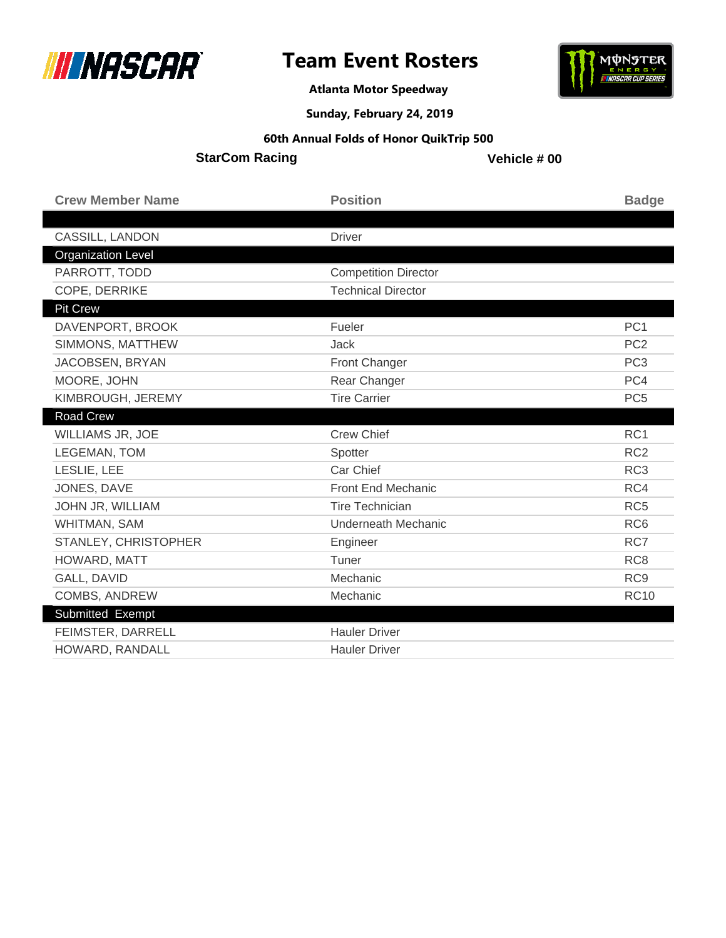

**MUNSTER** 

**Atlanta Motor Speedway**

**Sunday, February 24, 2019**

### **60th Annual Folds of Honor QuikTrip 500**

**StarCom Racing**

| <b>Crew Member Name</b>   | <b>Position</b>             | <b>Badge</b>    |
|---------------------------|-----------------------------|-----------------|
|                           |                             |                 |
| <b>CASSILL, LANDON</b>    | <b>Driver</b>               |                 |
| <b>Organization Level</b> |                             |                 |
| PARROTT, TODD             | <b>Competition Director</b> |                 |
| COPE, DERRIKE             | <b>Technical Director</b>   |                 |
| Pit Crew                  |                             |                 |
| DAVENPORT, BROOK          | Fueler                      | PC <sub>1</sub> |
| SIMMONS, MATTHEW          | <b>Jack</b>                 | PC <sub>2</sub> |
| JACOBSEN, BRYAN           | Front Changer               | PC <sub>3</sub> |
| MOORE, JOHN               | Rear Changer                | PC4             |
| KIMBROUGH, JEREMY         | <b>Tire Carrier</b>         | PC <sub>5</sub> |
| <b>Road Crew</b>          |                             |                 |
| WILLIAMS JR, JOE          | <b>Crew Chief</b>           | RC <sub>1</sub> |
| LEGEMAN, TOM              | Spotter                     | RC <sub>2</sub> |
| LESLIE, LEE               | Car Chief                   | RC <sub>3</sub> |
| JONES, DAVE               | Front End Mechanic          | RC4             |
| JOHN JR, WILLIAM          | <b>Tire Technician</b>      | RC <sub>5</sub> |
| WHITMAN, SAM              | Underneath Mechanic         | RC <sub>6</sub> |
| STANLEY, CHRISTOPHER      | Engineer                    | RC7             |
| HOWARD, MATT              | Tuner                       | RC <sub>8</sub> |
| GALL, DAVID               | Mechanic                    | RC <sub>9</sub> |
| <b>COMBS, ANDREW</b>      | Mechanic                    | <b>RC10</b>     |
| Submitted Exempt          |                             |                 |
| FEIMSTER, DARRELL         | <b>Hauler Driver</b>        |                 |
| HOWARD, RANDALL           | <b>Hauler Driver</b>        |                 |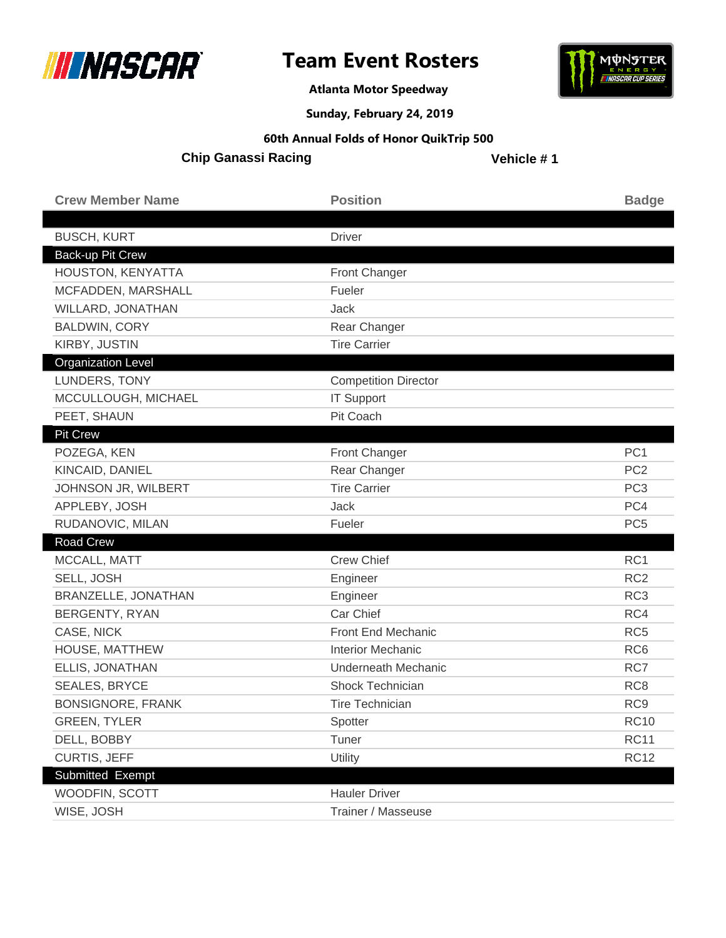



**Atlanta Motor Speedway**

**Sunday, February 24, 2019**

#### **60th Annual Folds of Honor QuikTrip 500**

**Chip Ganassi Racing**

| <b>Crew Member Name</b>   | <b>Position</b>             | <b>Badge</b>    |
|---------------------------|-----------------------------|-----------------|
| <b>BUSCH, KURT</b>        | <b>Driver</b>               |                 |
| Back-up Pit Crew          |                             |                 |
| HOUSTON, KENYATTA         | Front Changer               |                 |
| MCFADDEN, MARSHALL        | Fueler                      |                 |
| WILLARD, JONATHAN         | Jack                        |                 |
| <b>BALDWIN, CORY</b>      | Rear Changer                |                 |
| KIRBY, JUSTIN             | <b>Tire Carrier</b>         |                 |
| <b>Organization Level</b> |                             |                 |
| LUNDERS, TONY             | <b>Competition Director</b> |                 |
| MCCULLOUGH, MICHAEL       | <b>IT Support</b>           |                 |
| PEET, SHAUN               | Pit Coach                   |                 |
| <b>Pit Crew</b>           |                             |                 |
| POZEGA, KEN               | <b>Front Changer</b>        | PC <sub>1</sub> |
| KINCAID, DANIEL           | Rear Changer                | PC <sub>2</sub> |
| JOHNSON JR, WILBERT       | <b>Tire Carrier</b>         | PC <sub>3</sub> |
| APPLEBY, JOSH             | Jack                        | PC4             |
| RUDANOVIC, MILAN          | Fueler                      | PC <sub>5</sub> |
| Road Crew                 |                             |                 |
| MCCALL, MATT              | <b>Crew Chief</b>           | RC1             |
| SELL, JOSH                | Engineer                    | RC <sub>2</sub> |
| BRANZELLE, JONATHAN       | Engineer                    | RC <sub>3</sub> |
| <b>BERGENTY, RYAN</b>     | Car Chief                   | RC4             |
| CASE, NICK                | Front End Mechanic          | RC <sub>5</sub> |
| HOUSE, MATTHEW            | <b>Interior Mechanic</b>    | RC <sub>6</sub> |
| ELLIS, JONATHAN           | <b>Underneath Mechanic</b>  | RC7             |
| <b>SEALES, BRYCE</b>      | Shock Technician            | RC <sub>8</sub> |
| <b>BONSIGNORE, FRANK</b>  | <b>Tire Technician</b>      | RC <sub>9</sub> |
| <b>GREEN, TYLER</b>       | Spotter                     | <b>RC10</b>     |
| DELL, BOBBY               | Tuner                       | <b>RC11</b>     |
| CURTIS, JEFF              | Utility                     | <b>RC12</b>     |
| Submitted Exempt          |                             |                 |
| WOODFIN, SCOTT            | <b>Hauler Driver</b>        |                 |
| WISE, JOSH                | Trainer / Masseuse          |                 |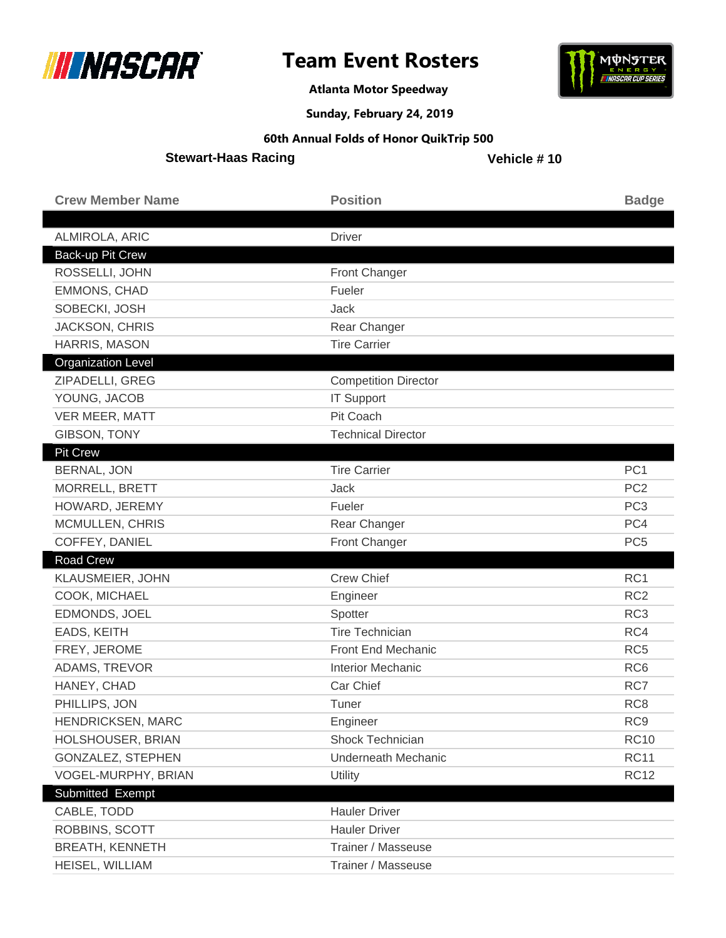



**Atlanta Motor Speedway**

**Sunday, February 24, 2019**

#### **60th Annual Folds of Honor QuikTrip 500**

**Stewart-Haas Racing**

| <b>Crew Member Name</b>   | <b>Position</b>             | <b>Badge</b>    |
|---------------------------|-----------------------------|-----------------|
|                           |                             |                 |
| ALMIROLA, ARIC            | <b>Driver</b>               |                 |
| Back-up Pit Crew          |                             |                 |
| ROSSELLI, JOHN            | Front Changer               |                 |
| <b>EMMONS, CHAD</b>       | Fueler                      |                 |
| SOBECKI, JOSH             | Jack                        |                 |
| <b>JACKSON, CHRIS</b>     | Rear Changer                |                 |
| HARRIS, MASON             | <b>Tire Carrier</b>         |                 |
| <b>Organization Level</b> |                             |                 |
| ZIPADELLI, GREG           | <b>Competition Director</b> |                 |
| YOUNG, JACOB              | <b>IT Support</b>           |                 |
| VER MEER, MATT            | Pit Coach                   |                 |
| <b>GIBSON, TONY</b>       | <b>Technical Director</b>   |                 |
| <b>Pit Crew</b>           |                             |                 |
| <b>BERNAL, JON</b>        | <b>Tire Carrier</b>         | PC <sub>1</sub> |
| MORRELL, BRETT            | Jack                        | PC <sub>2</sub> |
| HOWARD, JEREMY            | Fueler                      | PC <sub>3</sub> |
| MCMULLEN, CHRIS           | Rear Changer                | PC4             |
|                           |                             |                 |
| COFFEY, DANIEL            | <b>Front Changer</b>        | PC <sub>5</sub> |
| Road Crew                 |                             |                 |
| KLAUSMEIER, JOHN          | <b>Crew Chief</b>           | RC1             |
| COOK, MICHAEL             | Engineer                    | RC <sub>2</sub> |
| EDMONDS, JOEL             | Spotter                     | RC <sub>3</sub> |
| EADS, KEITH               | <b>Tire Technician</b>      | RC4             |
| FREY, JEROME              | Front End Mechanic          | RC <sub>5</sub> |
| ADAMS, TREVOR             | <b>Interior Mechanic</b>    | RC <sub>6</sub> |
| HANEY, CHAD               | Car Chief                   | RC7             |
| PHILLIPS, JON             | Tuner                       | RC <sub>8</sub> |
| HENDRICKSEN, MARC         | Engineer                    | RC <sub>9</sub> |
| HOLSHOUSER, BRIAN         | Shock Technician            | <b>RC10</b>     |
| <b>GONZALEZ, STEPHEN</b>  | <b>Underneath Mechanic</b>  | <b>RC11</b>     |
| VOGEL-MURPHY, BRIAN       | Utility                     | <b>RC12</b>     |
| Submitted Exempt          |                             |                 |
| CABLE, TODD               | <b>Hauler Driver</b>        |                 |
| ROBBINS, SCOTT            | <b>Hauler Driver</b>        |                 |
| <b>BREATH, KENNETH</b>    | Trainer / Masseuse          |                 |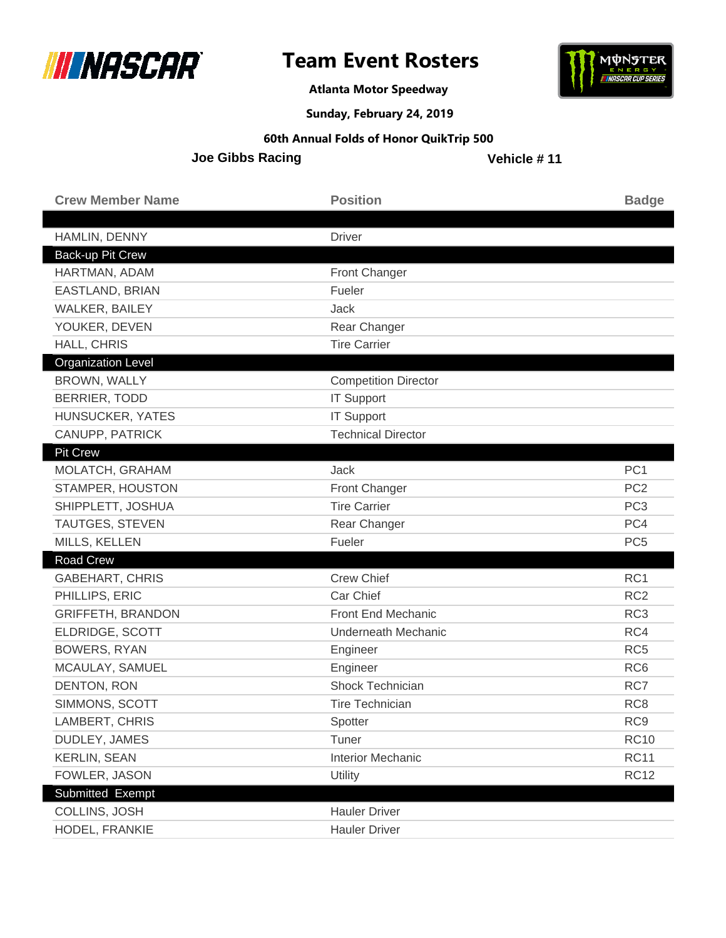



**Atlanta Motor Speedway**

**Sunday, February 24, 2019**

#### **60th Annual Folds of Honor QuikTrip 500**

**Joe Gibbs Racing**

| <b>Crew Member Name</b>   | <b>Position</b>             | <b>Badge</b>    |
|---------------------------|-----------------------------|-----------------|
|                           |                             |                 |
| HAMLIN, DENNY             | <b>Driver</b>               |                 |
| Back-up Pit Crew          |                             |                 |
| HARTMAN, ADAM             | Front Changer               |                 |
| EASTLAND, BRIAN           | Fueler                      |                 |
| <b>WALKER, BAILEY</b>     | Jack                        |                 |
| YOUKER, DEVEN             | Rear Changer                |                 |
| HALL, CHRIS               | <b>Tire Carrier</b>         |                 |
| <b>Organization Level</b> |                             |                 |
| BROWN, WALLY              | <b>Competition Director</b> |                 |
| <b>BERRIER, TODD</b>      | <b>IT Support</b>           |                 |
| HUNSUCKER, YATES          | <b>IT Support</b>           |                 |
| CANUPP, PATRICK           | <b>Technical Director</b>   |                 |
| <b>Pit Crew</b>           |                             |                 |
| MOLATCH, GRAHAM           | Jack                        | PC <sub>1</sub> |
| STAMPER, HOUSTON          | Front Changer               | PC <sub>2</sub> |
| SHIPPLETT, JOSHUA         | <b>Tire Carrier</b>         | PC <sub>3</sub> |
| <b>TAUTGES, STEVEN</b>    | Rear Changer                | PC4             |
| MILLS, KELLEN             | Fueler                      | PC <sub>5</sub> |
| <b>Road Crew</b>          |                             |                 |
| <b>GABEHART, CHRIS</b>    | <b>Crew Chief</b>           | RC1             |
| PHILLIPS, ERIC            | Car Chief                   | RC <sub>2</sub> |
| <b>GRIFFETH, BRANDON</b>  | Front End Mechanic          | RC <sub>3</sub> |
| ELDRIDGE, SCOTT           | <b>Underneath Mechanic</b>  | RC4             |
| <b>BOWERS, RYAN</b>       | Engineer                    | RC <sub>5</sub> |
| MCAULAY, SAMUEL           | Engineer                    | RC <sub>6</sub> |
| DENTON, RON               | <b>Shock Technician</b>     | RC7             |
| SIMMONS, SCOTT            | <b>Tire Technician</b>      | RC <sub>8</sub> |
| LAMBERT, CHRIS            | Spotter                     | RC <sub>9</sub> |
| DUDLEY, JAMES             | Tuner                       | <b>RC10</b>     |
| <b>KERLIN, SEAN</b>       | <b>Interior Mechanic</b>    | <b>RC11</b>     |
| FOWLER, JASON             | Utility                     | <b>RC12</b>     |
| Submitted Exempt          |                             |                 |
| COLLINS, JOSH             | <b>Hauler Driver</b>        |                 |
| HODEL, FRANKIE            | <b>Hauler Driver</b>        |                 |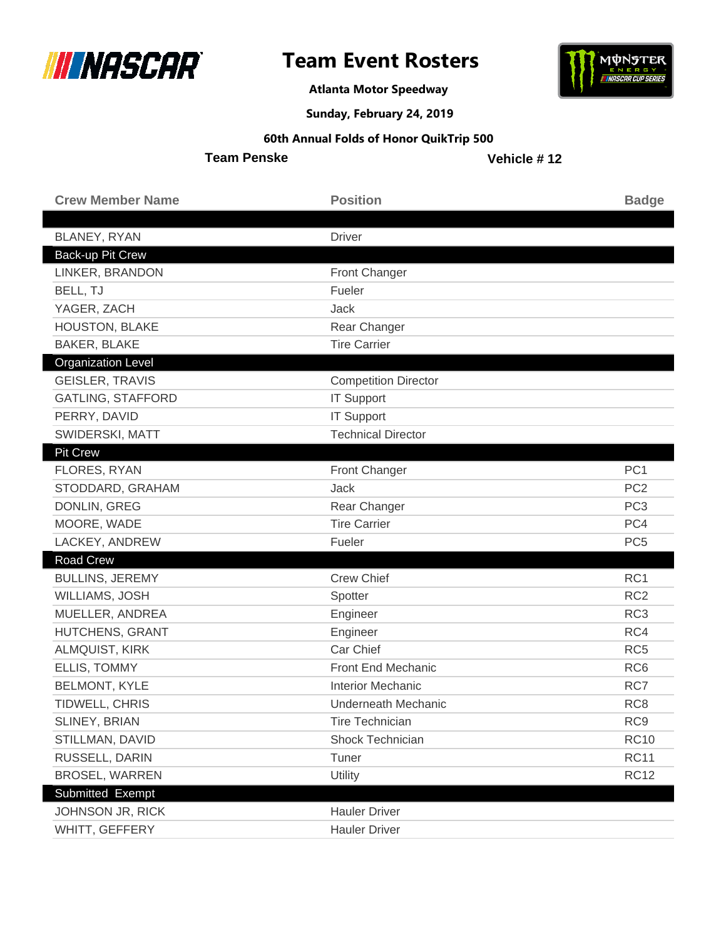



**Atlanta Motor Speedway**

**Sunday, February 24, 2019**

### **60th Annual Folds of Honor QuikTrip 500**

**Team Penske**

| <b>Crew Member Name</b>          | <b>Position</b>             | <b>Badge</b>    |
|----------------------------------|-----------------------------|-----------------|
|                                  | <b>Driver</b>               |                 |
| BLANEY, RYAN<br>Back-up Pit Crew |                             |                 |
| LINKER, BRANDON                  | Front Changer               |                 |
| BELL, TJ                         | Fueler                      |                 |
| YAGER, ZACH                      | <b>Jack</b>                 |                 |
| HOUSTON, BLAKE                   | Rear Changer                |                 |
| <b>BAKER, BLAKE</b>              | <b>Tire Carrier</b>         |                 |
| <b>Organization Level</b>        |                             |                 |
| <b>GEISLER, TRAVIS</b>           | <b>Competition Director</b> |                 |
| <b>GATLING, STAFFORD</b>         | <b>IT Support</b>           |                 |
| PERRY, DAVID                     | <b>IT Support</b>           |                 |
| SWIDERSKI, MATT                  | <b>Technical Director</b>   |                 |
| <b>Pit Crew</b>                  |                             |                 |
| FLORES, RYAN                     | <b>Front Changer</b>        | PC <sub>1</sub> |
| STODDARD, GRAHAM                 | <b>Jack</b>                 | PC <sub>2</sub> |
| DONLIN, GREG                     | Rear Changer                | PC <sub>3</sub> |
| MOORE, WADE                      | <b>Tire Carrier</b>         | PC4             |
| LACKEY, ANDREW                   | Fueler                      | PC <sub>5</sub> |
| Road Crew                        |                             |                 |
| <b>BULLINS, JEREMY</b>           | <b>Crew Chief</b>           | RC1             |
| WILLIAMS, JOSH                   | Spotter                     | RC <sub>2</sub> |
| MUELLER, ANDREA                  | Engineer                    | RC <sub>3</sub> |
| HUTCHENS, GRANT                  | Engineer                    | RC4             |
| <b>ALMQUIST, KIRK</b>            | Car Chief                   | RC <sub>5</sub> |
| ELLIS, TOMMY                     | Front End Mechanic          | RC <sub>6</sub> |
| <b>BELMONT, KYLE</b>             | <b>Interior Mechanic</b>    | RC7             |
| TIDWELL, CHRIS                   | <b>Underneath Mechanic</b>  | RC <sub>8</sub> |
| <b>SLINEY, BRIAN</b>             | <b>Tire Technician</b>      | RC <sub>9</sub> |
| STILLMAN, DAVID                  | Shock Technician            | <b>RC10</b>     |
| RUSSELL, DARIN                   | Tuner                       | <b>RC11</b>     |
| <b>BROSEL, WARREN</b>            | Utility                     | <b>RC12</b>     |
| Submitted Exempt                 |                             |                 |
| JOHNSON JR, RICK                 | <b>Hauler Driver</b>        |                 |
| WHITT, GEFFERY                   | <b>Hauler Driver</b>        |                 |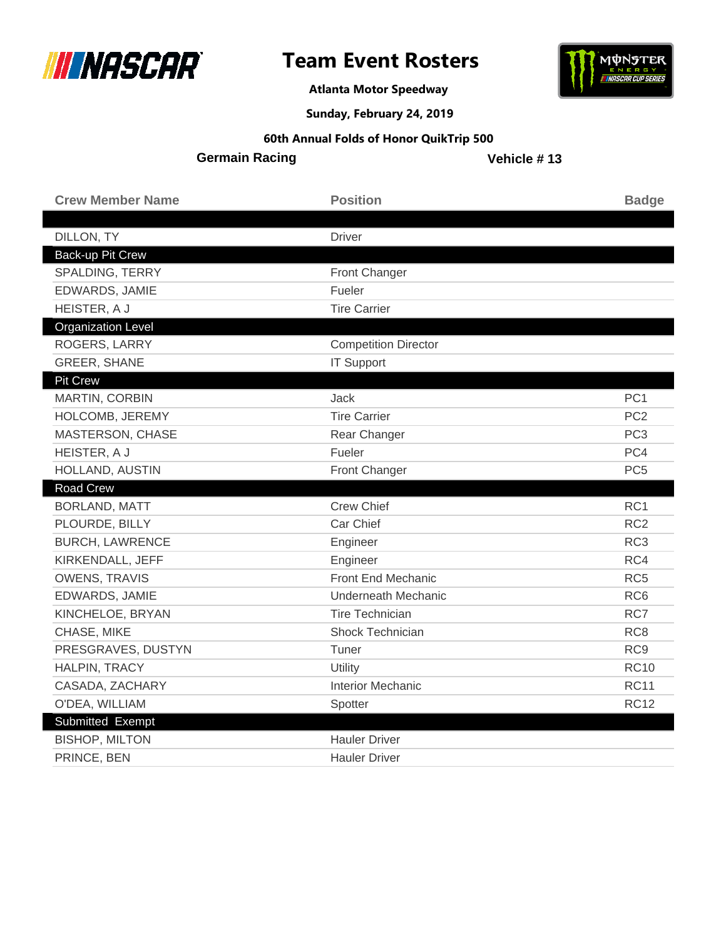



**Atlanta Motor Speedway**

### **Sunday, February 24, 2019**

#### **60th Annual Folds of Honor QuikTrip 500**

**Germain Racing**

| <b>Crew Member Name</b>   | <b>Position</b>             | <b>Badge</b>    |
|---------------------------|-----------------------------|-----------------|
|                           |                             |                 |
| DILLON, TY                | <b>Driver</b>               |                 |
| Back-up Pit Crew          |                             |                 |
| SPALDING, TERRY           | <b>Front Changer</b>        |                 |
| <b>EDWARDS, JAMIE</b>     | Fueler                      |                 |
| HEISTER, A J              | <b>Tire Carrier</b>         |                 |
| <b>Organization Level</b> |                             |                 |
| ROGERS, LARRY             | <b>Competition Director</b> |                 |
| <b>GREER, SHANE</b>       | <b>IT Support</b>           |                 |
| <b>Pit Crew</b>           |                             |                 |
| MARTIN, CORBIN            | Jack                        | PC <sub>1</sub> |
| HOLCOMB, JEREMY           | <b>Tire Carrier</b>         | PC <sub>2</sub> |
| MASTERSON, CHASE          | Rear Changer                | PC <sub>3</sub> |
| HEISTER, A J              | Fueler                      | PC4             |
| HOLLAND, AUSTIN           | <b>Front Changer</b>        | PC <sub>5</sub> |
| <b>Road Crew</b>          |                             |                 |
| <b>BORLAND, MATT</b>      | <b>Crew Chief</b>           | RC <sub>1</sub> |
| PLOURDE, BILLY            | Car Chief                   | RC <sub>2</sub> |
| <b>BURCH, LAWRENCE</b>    | Engineer                    | RC <sub>3</sub> |
| KIRKENDALL, JEFF          | Engineer                    | RC4             |
| <b>OWENS, TRAVIS</b>      | Front End Mechanic          | RC <sub>5</sub> |
| EDWARDS, JAMIE            | <b>Underneath Mechanic</b>  | RC <sub>6</sub> |
| KINCHELOE, BRYAN          | <b>Tire Technician</b>      | RC7             |
| CHASE, MIKE               | <b>Shock Technician</b>     | RC <sub>8</sub> |
| PRESGRAVES, DUSTYN        | Tuner                       | RC <sub>9</sub> |
| HALPIN, TRACY             | Utility                     | <b>RC10</b>     |
| CASADA, ZACHARY           | <b>Interior Mechanic</b>    | <b>RC11</b>     |
| O'DEA, WILLIAM            | Spotter                     | <b>RC12</b>     |
| Submitted Exempt          |                             |                 |
| <b>BISHOP, MILTON</b>     | <b>Hauler Driver</b>        |                 |
| PRINCE, BEN               | <b>Hauler Driver</b>        |                 |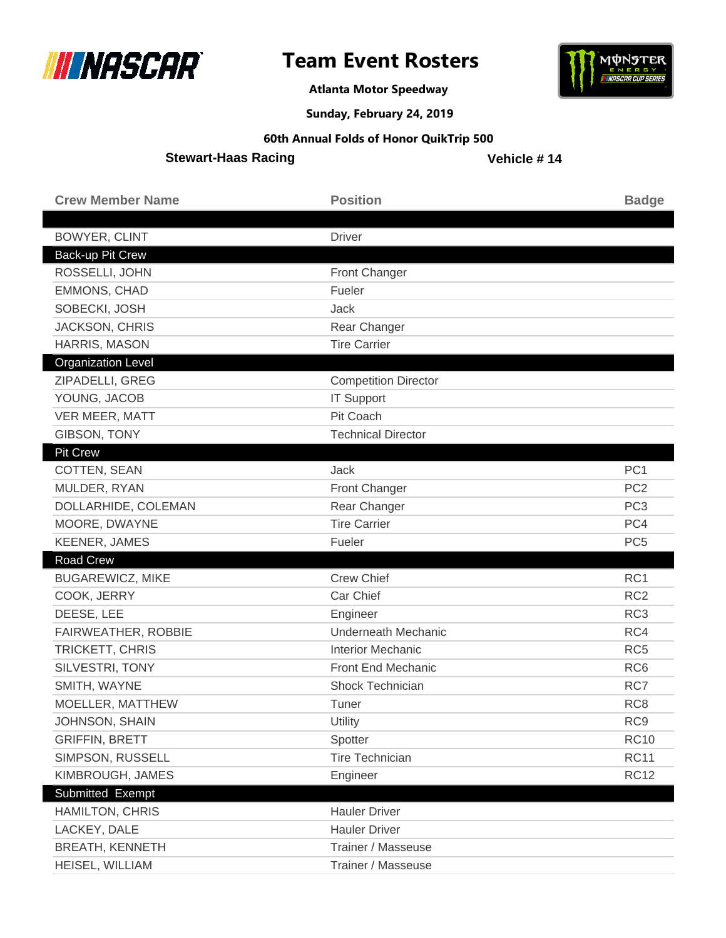



**Atlanta Motor Speedway**

**Sunday, February 24, 2019**

#### **60th Annual Folds of Honor QuikTrip 500**

**Stewart-Haas Racing**

| <b>Crew Member Name</b>   | <b>Position</b>             | <b>Badge</b>    |
|---------------------------|-----------------------------|-----------------|
|                           |                             |                 |
| <b>BOWYER, CLINT</b>      | <b>Driver</b>               |                 |
| Back-up Pit Crew          |                             |                 |
| ROSSELLI, JOHN            | Front Changer               |                 |
| <b>EMMONS, CHAD</b>       | Fueler                      |                 |
| SOBECKI, JOSH             | Jack                        |                 |
| <b>JACKSON, CHRIS</b>     | Rear Changer                |                 |
| HARRIS, MASON             | <b>Tire Carrier</b>         |                 |
| <b>Organization Level</b> |                             |                 |
| ZIPADELLI, GREG           | <b>Competition Director</b> |                 |
| YOUNG, JACOB              | <b>IT Support</b>           |                 |
| VER MEER, MATT            | Pit Coach                   |                 |
| <b>GIBSON, TONY</b>       | <b>Technical Director</b>   |                 |
| <b>Pit Crew</b>           |                             |                 |
| COTTEN, SEAN              | Jack                        | PC <sub>1</sub> |
| MULDER, RYAN              | Front Changer               | PC <sub>2</sub> |
| DOLLARHIDE, COLEMAN       | Rear Changer                | PC <sub>3</sub> |
| MOORE, DWAYNE             | <b>Tire Carrier</b>         | PC4             |
|                           |                             |                 |
| <b>KEENER, JAMES</b>      | Fueler                      | PC <sub>5</sub> |
| Road Crew                 |                             |                 |
| <b>BUGAREWICZ, MIKE</b>   | <b>Crew Chief</b>           | RC1             |
| COOK, JERRY               | Car Chief                   | RC <sub>2</sub> |
| DEESE, LEE                | Engineer                    | RC <sub>3</sub> |
| FAIRWEATHER, ROBBIE       | <b>Underneath Mechanic</b>  | RC4             |
| TRICKETT, CHRIS           | <b>Interior Mechanic</b>    | RC <sub>5</sub> |
| SILVESTRI, TONY           | Front End Mechanic          | RC <sub>6</sub> |
| SMITH, WAYNE              | <b>Shock Technician</b>     | RC7             |
| MOELLER, MATTHEW          | Tuner                       | RC <sub>8</sub> |
| JOHNSON, SHAIN            | Utility                     | RC <sub>9</sub> |
| <b>GRIFFIN, BRETT</b>     | Spotter                     | <b>RC10</b>     |
| SIMPSON, RUSSELL          | <b>Tire Technician</b>      | <b>RC11</b>     |
| KIMBROUGH, JAMES          | Engineer                    | <b>RC12</b>     |
| Submitted Exempt          |                             |                 |
| <b>HAMILTON, CHRIS</b>    | <b>Hauler Driver</b>        |                 |
| LACKEY, DALE              | <b>Hauler Driver</b>        |                 |
| <b>BREATH, KENNETH</b>    | Trainer / Masseuse          |                 |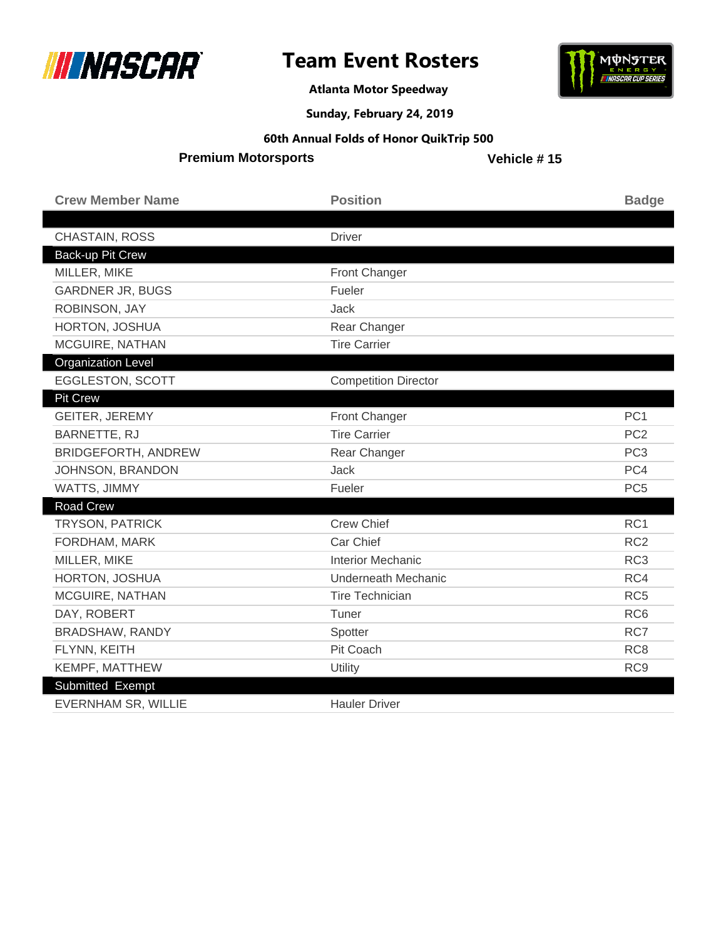



**Atlanta Motor Speedway**

**Sunday, February 24, 2019**

#### **60th Annual Folds of Honor QuikTrip 500**

**Premium Motorsports**

| <b>Crew Member Name</b>    | <b>Position</b>             | <b>Badge</b>    |
|----------------------------|-----------------------------|-----------------|
|                            |                             |                 |
| CHASTAIN, ROSS             | <b>Driver</b>               |                 |
| Back-up Pit Crew           |                             |                 |
| MILLER, MIKE               | Front Changer               |                 |
| <b>GARDNER JR, BUGS</b>    | Fueler                      |                 |
| ROBINSON, JAY              | <b>Jack</b>                 |                 |
| HORTON, JOSHUA             | Rear Changer                |                 |
| MCGUIRE, NATHAN            | <b>Tire Carrier</b>         |                 |
| <b>Organization Level</b>  |                             |                 |
| EGGLESTON, SCOTT           | <b>Competition Director</b> |                 |
| <b>Pit Crew</b>            |                             |                 |
| GEITER, JEREMY             | Front Changer               | PC <sub>1</sub> |
| BARNETTE, RJ               | <b>Tire Carrier</b>         | PC <sub>2</sub> |
| <b>BRIDGEFORTH, ANDREW</b> | Rear Changer                | PC <sub>3</sub> |
| JOHNSON, BRANDON           | Jack                        | PC4             |
| WATTS, JIMMY               | Fueler                      | PC <sub>5</sub> |
| <b>Road Crew</b>           |                             |                 |
| <b>TRYSON, PATRICK</b>     | <b>Crew Chief</b>           | RC1             |
| FORDHAM, MARK              | Car Chief                   | RC <sub>2</sub> |
| MILLER, MIKE               | <b>Interior Mechanic</b>    | RC <sub>3</sub> |
| HORTON, JOSHUA             | <b>Underneath Mechanic</b>  | RC4             |
| MCGUIRE, NATHAN            | <b>Tire Technician</b>      | RC <sub>5</sub> |
| DAY, ROBERT                | Tuner                       | RC <sub>6</sub> |
| BRADSHAW, RANDY            | Spotter                     | RC7             |
| FLYNN, KEITH               | Pit Coach                   | RC <sub>8</sub> |
| KEMPF, MATTHEW             | Utility                     | RC <sub>9</sub> |
| Submitted Exempt           |                             |                 |
| <b>EVERNHAM SR, WILLIE</b> | <b>Hauler Driver</b>        |                 |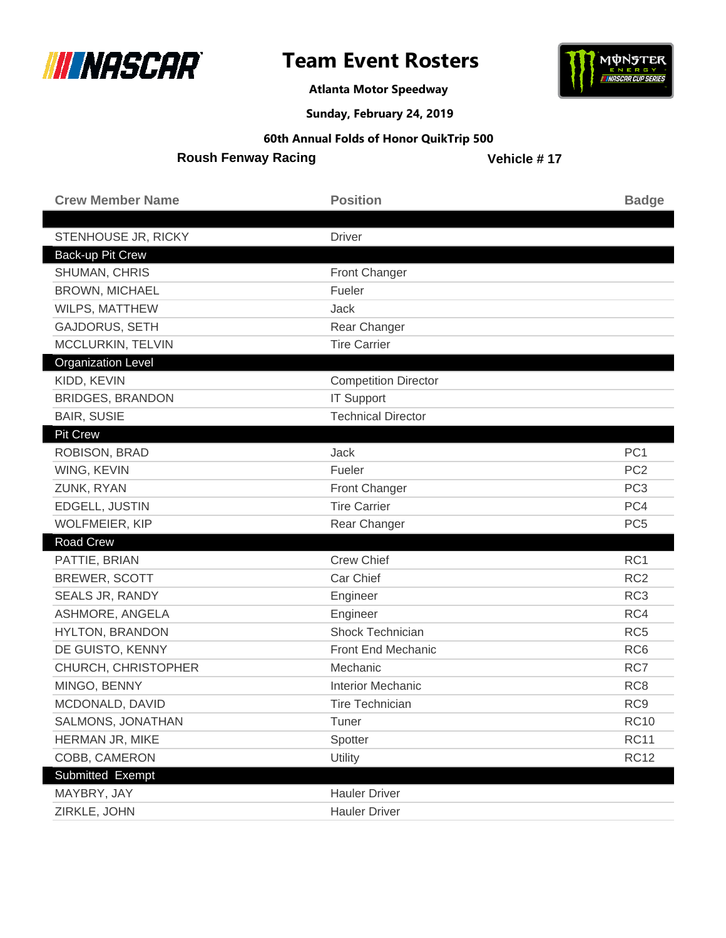



**Atlanta Motor Speedway**

### **Sunday, February 24, 2019**

#### **60th Annual Folds of Honor QuikTrip 500**

**Roush Fenway Racing**

| <b>Crew Member Name</b>   | <b>Position</b>             | <b>Badge</b>    |
|---------------------------|-----------------------------|-----------------|
|                           |                             |                 |
| STENHOUSE JR, RICKY       | <b>Driver</b>               |                 |
| Back-up Pit Crew          |                             |                 |
| SHUMAN, CHRIS             | Front Changer               |                 |
| <b>BROWN, MICHAEL</b>     | Fueler                      |                 |
| WILPS, MATTHEW            | Jack                        |                 |
| <b>GAJDORUS, SETH</b>     | Rear Changer                |                 |
| MCCLURKIN, TELVIN         | <b>Tire Carrier</b>         |                 |
| <b>Organization Level</b> |                             |                 |
| KIDD, KEVIN               | <b>Competition Director</b> |                 |
| <b>BRIDGES, BRANDON</b>   | <b>IT Support</b>           |                 |
| <b>BAIR, SUSIE</b>        | <b>Technical Director</b>   |                 |
| <b>Pit Crew</b>           |                             |                 |
| ROBISON, BRAD             | Jack                        | PC <sub>1</sub> |
| WING, KEVIN               | Fueler                      | PC <sub>2</sub> |
| ZUNK, RYAN                | <b>Front Changer</b>        | PC <sub>3</sub> |
| EDGELL, JUSTIN            | <b>Tire Carrier</b>         | PC4             |
| <b>WOLFMEIER, KIP</b>     | Rear Changer                | PC <sub>5</sub> |
| <b>Road Crew</b>          |                             |                 |
| PATTIE, BRIAN             | <b>Crew Chief</b>           | RC1             |
| <b>BREWER, SCOTT</b>      | Car Chief                   | RC <sub>2</sub> |
| SEALS JR, RANDY           | Engineer                    | RC <sub>3</sub> |
| ASHMORE, ANGELA           | Engineer                    | RC4             |
| <b>HYLTON, BRANDON</b>    | Shock Technician            | RC <sub>5</sub> |
| DE GUISTO, KENNY          | Front End Mechanic          | RC <sub>6</sub> |
| CHURCH, CHRISTOPHER       | Mechanic                    | RC7             |
| MINGO, BENNY              | <b>Interior Mechanic</b>    | RC <sub>8</sub> |
| MCDONALD, DAVID           | <b>Tire Technician</b>      | RC <sub>9</sub> |
| SALMONS, JONATHAN         | Tuner                       | <b>RC10</b>     |
| HERMAN JR, MIKE           | Spotter                     | <b>RC11</b>     |
| COBB, CAMERON             | Utility                     | <b>RC12</b>     |
| Submitted Exempt          |                             |                 |
| MAYBRY, JAY               | <b>Hauler Driver</b>        |                 |
| ZIRKLE, JOHN              | <b>Hauler Driver</b>        |                 |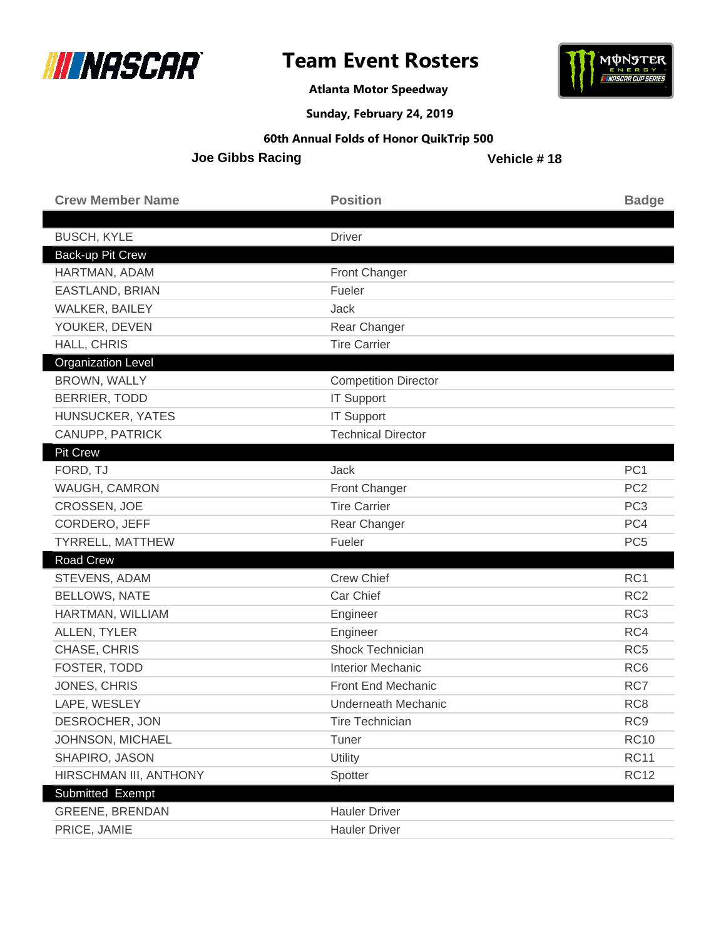



**Atlanta Motor Speedway**

**Sunday, February 24, 2019**

#### **60th Annual Folds of Honor QuikTrip 500**

**Joe Gibbs Racing**

| <b>Crew Member Name</b>   | <b>Position</b>             | <b>Badge</b>    |
|---------------------------|-----------------------------|-----------------|
|                           |                             |                 |
| <b>BUSCH, KYLE</b>        | <b>Driver</b>               |                 |
| Back-up Pit Crew          |                             |                 |
| HARTMAN, ADAM             | Front Changer               |                 |
| EASTLAND, BRIAN           | Fueler                      |                 |
| WALKER, BAILEY            | Jack                        |                 |
| YOUKER, DEVEN             | Rear Changer                |                 |
| HALL, CHRIS               | <b>Tire Carrier</b>         |                 |
| <b>Organization Level</b> |                             |                 |
| BROWN, WALLY              | <b>Competition Director</b> |                 |
| <b>BERRIER, TODD</b>      | <b>IT Support</b>           |                 |
| HUNSUCKER, YATES          | <b>IT Support</b>           |                 |
| CANUPP, PATRICK           | <b>Technical Director</b>   |                 |
| Pit Crew                  |                             |                 |
| FORD, TJ                  | Jack                        | PC <sub>1</sub> |
| WAUGH, CAMRON             | Front Changer               | PC <sub>2</sub> |
| CROSSEN, JOE              | <b>Tire Carrier</b>         | PC <sub>3</sub> |
| CORDERO, JEFF             | Rear Changer                | PC4             |
| TYRRELL, MATTHEW          | Fueler                      | PC <sub>5</sub> |
| Road Crew                 |                             |                 |
| STEVENS, ADAM             | <b>Crew Chief</b>           | RC1             |
| <b>BELLOWS, NATE</b>      | Car Chief                   | RC <sub>2</sub> |
| HARTMAN, WILLIAM          | Engineer                    | RC <sub>3</sub> |
| ALLEN, TYLER              | Engineer                    | RC4             |
| CHASE, CHRIS              | Shock Technician            | RC <sub>5</sub> |
| FOSTER, TODD              | <b>Interior Mechanic</b>    | RC <sub>6</sub> |
| JONES, CHRIS              | Front End Mechanic          | RC7             |
| LAPE, WESLEY              | Underneath Mechanic         | RC <sub>8</sub> |
| DESROCHER, JON            | <b>Tire Technician</b>      | RC <sub>9</sub> |
| JOHNSON, MICHAEL          | Tuner                       | <b>RC10</b>     |
| SHAPIRO, JASON            | <b>Utility</b>              | <b>RC11</b>     |
| HIRSCHMAN III, ANTHONY    | Spotter                     | <b>RC12</b>     |
| Submitted Exempt          |                             |                 |
| <b>GREENE, BRENDAN</b>    | <b>Hauler Driver</b>        |                 |
| PRICE, JAMIE              | <b>Hauler Driver</b>        |                 |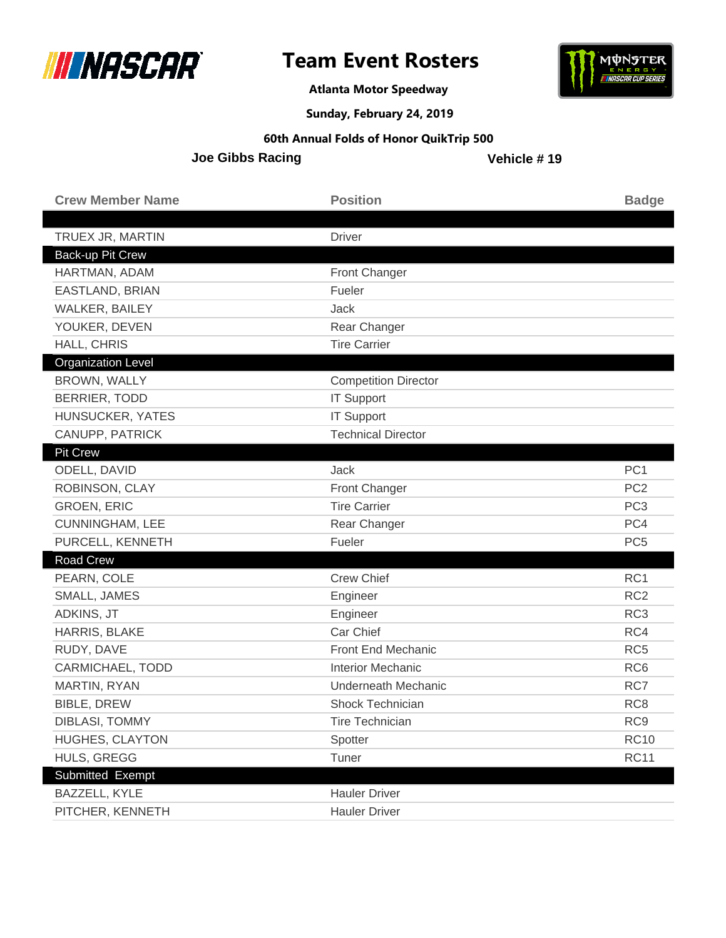



**Atlanta Motor Speedway**

**Sunday, February 24, 2019**

#### **60th Annual Folds of Honor QuikTrip 500**

**Joe Gibbs Racing**

| <b>Crew Member Name</b>   | <b>Position</b>             | <b>Badge</b>    |
|---------------------------|-----------------------------|-----------------|
| TRUEX JR, MARTIN          | <b>Driver</b>               |                 |
| Back-up Pit Crew          |                             |                 |
| HARTMAN, ADAM             | Front Changer               |                 |
| EASTLAND, BRIAN           | Fueler                      |                 |
| WALKER, BAILEY            | Jack                        |                 |
| YOUKER, DEVEN             | Rear Changer                |                 |
| HALL, CHRIS               | <b>Tire Carrier</b>         |                 |
| <b>Organization Level</b> |                             |                 |
| BROWN, WALLY              | <b>Competition Director</b> |                 |
| <b>BERRIER, TODD</b>      | <b>IT Support</b>           |                 |
| HUNSUCKER, YATES          | <b>IT Support</b>           |                 |
| CANUPP, PATRICK           | <b>Technical Director</b>   |                 |
| <b>Pit Crew</b>           |                             |                 |
| ODELL, DAVID              | Jack                        | PC <sub>1</sub> |
| ROBINSON, CLAY            | Front Changer               | PC <sub>2</sub> |
| <b>GROEN, ERIC</b>        | <b>Tire Carrier</b>         | PC <sub>3</sub> |
| <b>CUNNINGHAM, LEE</b>    | Rear Changer                | PC4             |
| PURCELL, KENNETH          | Fueler                      | PC <sub>5</sub> |
| <b>Road Crew</b>          |                             |                 |
| PEARN, COLE               | <b>Crew Chief</b>           | RC1             |
| SMALL, JAMES              | Engineer                    | RC <sub>2</sub> |
| ADKINS, JT                | Engineer                    | RC <sub>3</sub> |
| HARRIS, BLAKE             | Car Chief                   | RC4             |
| RUDY, DAVE                | Front End Mechanic          | RC <sub>5</sub> |
| CARMICHAEL, TODD          | <b>Interior Mechanic</b>    | RC <sub>6</sub> |
| MARTIN, RYAN              | <b>Underneath Mechanic</b>  | RC7             |
| <b>BIBLE, DREW</b>        | Shock Technician            | RC <sub>8</sub> |
| DIBLASI, TOMMY            | <b>Tire Technician</b>      | RC <sub>9</sub> |
| HUGHES, CLAYTON           | Spotter                     | <b>RC10</b>     |
| HULS, GREGG               | Tuner                       | <b>RC11</b>     |
| Submitted Exempt          |                             |                 |
| BAZZELL, KYLE             | <b>Hauler Driver</b>        |                 |
| PITCHER, KENNETH          | <b>Hauler Driver</b>        |                 |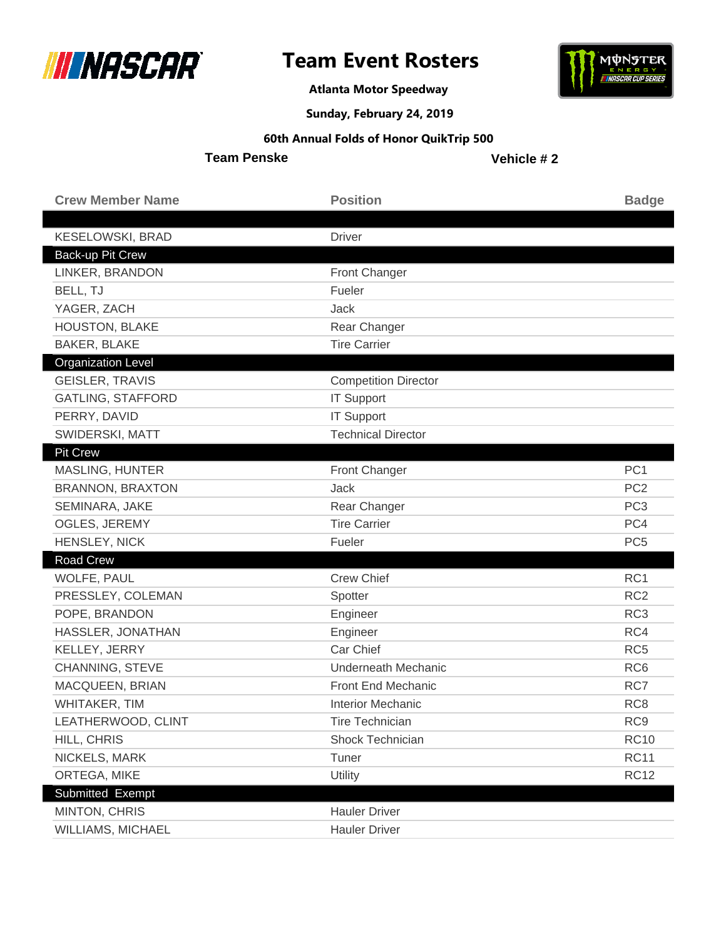



**Atlanta Motor Speedway**

### **Sunday, February 24, 2019**

#### **60th Annual Folds of Honor QuikTrip 500**

**Team Penske**

| <b>Crew Member Name</b>   | <b>Position</b>             | <b>Badge</b>    |
|---------------------------|-----------------------------|-----------------|
|                           |                             |                 |
| <b>KESELOWSKI, BRAD</b>   | <b>Driver</b>               |                 |
| Back-up Pit Crew          |                             |                 |
| LINKER, BRANDON           | Front Changer               |                 |
| BELL, TJ                  | Fueler                      |                 |
| YAGER, ZACH               | Jack                        |                 |
| <b>HOUSTON, BLAKE</b>     | Rear Changer                |                 |
| <b>BAKER, BLAKE</b>       | <b>Tire Carrier</b>         |                 |
| <b>Organization Level</b> |                             |                 |
| <b>GEISLER, TRAVIS</b>    | <b>Competition Director</b> |                 |
| <b>GATLING, STAFFORD</b>  | <b>IT Support</b>           |                 |
| PERRY, DAVID              | <b>IT Support</b>           |                 |
| SWIDERSKI, MATT           | <b>Technical Director</b>   |                 |
| <b>Pit Crew</b>           |                             |                 |
| <b>MASLING, HUNTER</b>    | <b>Front Changer</b>        | PC <sub>1</sub> |
| <b>BRANNON, BRAXTON</b>   | <b>Jack</b>                 | PC <sub>2</sub> |
| SEMINARA, JAKE            | Rear Changer                | PC <sub>3</sub> |
| OGLES, JEREMY             | <b>Tire Carrier</b>         | PC4             |
| HENSLEY, NICK             | Fueler                      | PC <sub>5</sub> |
| <b>Road Crew</b>          |                             |                 |
| WOLFE, PAUL               | <b>Crew Chief</b>           | RC1             |
| PRESSLEY, COLEMAN         | Spotter                     | RC <sub>2</sub> |
| POPE, BRANDON             | Engineer                    | RC <sub>3</sub> |
| HASSLER, JONATHAN         | Engineer                    | RC4             |
| KELLEY, JERRY             | Car Chief                   | RC <sub>5</sub> |
| CHANNING, STEVE           | <b>Underneath Mechanic</b>  | RC <sub>6</sub> |
| MACQUEEN, BRIAN           | Front End Mechanic          | RC7             |
| WHITAKER, TIM             | <b>Interior Mechanic</b>    | RC <sub>8</sub> |
| LEATHERWOOD, CLINT        | <b>Tire Technician</b>      | RC <sub>9</sub> |
| HILL, CHRIS               | Shock Technician            | <b>RC10</b>     |
| NICKELS, MARK             | Tuner                       | <b>RC11</b>     |
| ORTEGA, MIKE              | Utility                     | <b>RC12</b>     |
| Submitted Exempt          |                             |                 |
| MINTON, CHRIS             | <b>Hauler Driver</b>        |                 |
| WILLIAMS, MICHAEL         | <b>Hauler Driver</b>        |                 |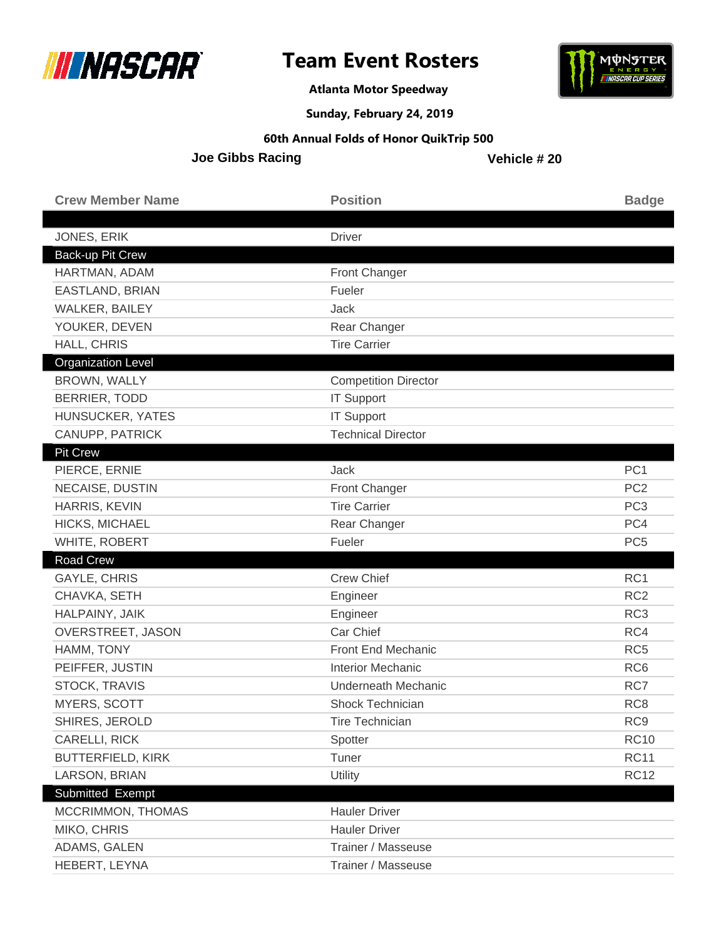



**Atlanta Motor Speedway**

**Sunday, February 24, 2019**

#### **60th Annual Folds of Honor QuikTrip 500**

**Joe Gibbs Racing**

| <b>Crew Member Name</b>       | <b>Position</b>                          | <b>Badge</b>    |
|-------------------------------|------------------------------------------|-----------------|
| JONES, ERIK                   | <b>Driver</b>                            |                 |
| <b>Back-up Pit Crew</b>       |                                          |                 |
| HARTMAN, ADAM                 | <b>Front Changer</b>                     |                 |
| EASTLAND, BRIAN               | Fueler                                   |                 |
| WALKER, BAILEY                | Jack                                     |                 |
| YOUKER, DEVEN                 | Rear Changer                             |                 |
| HALL, CHRIS                   | <b>Tire Carrier</b>                      |                 |
| <b>Organization Level</b>     |                                          |                 |
| BROWN, WALLY                  | <b>Competition Director</b>              |                 |
| <b>BERRIER, TODD</b>          | <b>IT Support</b>                        |                 |
| HUNSUCKER, YATES              | <b>IT Support</b>                        |                 |
| CANUPP, PATRICK               | <b>Technical Director</b>                |                 |
| <b>Pit Crew</b>               |                                          |                 |
| PIERCE, ERNIE                 | Jack                                     | PC <sub>1</sub> |
| NECAISE, DUSTIN               | <b>Front Changer</b>                     | PC <sub>2</sub> |
| HARRIS, KEVIN                 | <b>Tire Carrier</b>                      | PC <sub>3</sub> |
| HICKS, MICHAEL                | Rear Changer                             | PC4             |
|                               |                                          |                 |
| WHITE, ROBERT                 | Fueler                                   | PC <sub>5</sub> |
| <b>Road Crew</b>              |                                          |                 |
| <b>GAYLE, CHRIS</b>           | <b>Crew Chief</b>                        | RC1             |
| CHAVKA, SETH                  | Engineer                                 | RC <sub>2</sub> |
| HALPAINY, JAIK                | Engineer                                 | RC <sub>3</sub> |
| OVERSTREET, JASON             | Car Chief                                | RC4             |
| HAMM, TONY                    | <b>Front End Mechanic</b>                | RC <sub>5</sub> |
| PEIFFER, JUSTIN               | <b>Interior Mechanic</b>                 | RC <sub>6</sub> |
| STOCK, TRAVIS                 | Underneath Mechanic                      | RC7             |
| <b>MYERS, SCOTT</b>           | Shock Technician                         | RC <sub>8</sub> |
| SHIRES, JEROLD                | <b>Tire Technician</b>                   | RC <sub>9</sub> |
| CARELLI, RICK                 | Spotter                                  | <b>RC10</b>     |
| <b>BUTTERFIELD, KIRK</b>      | Tuner                                    | <b>RC11</b>     |
| LARSON, BRIAN                 | Utility                                  | <b>RC12</b>     |
| Submitted Exempt              |                                          |                 |
| MCCRIMMON, THOMAS             | <b>Hauler Driver</b>                     |                 |
| MIKO, CHRIS                   | <b>Hauler Driver</b>                     |                 |
| ADAMS, GALEN<br>HEBERT, LEYNA | Trainer / Masseuse<br>Trainer / Masseuse |                 |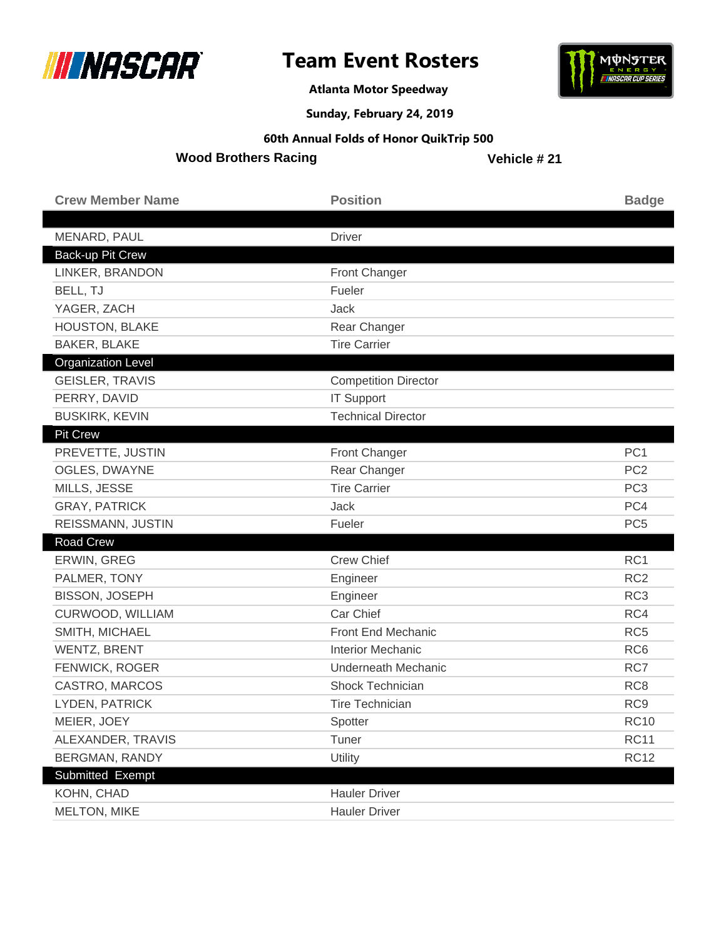



**Atlanta Motor Speedway**

**Sunday, February 24, 2019**

#### **60th Annual Folds of Honor QuikTrip 500**

**Wood Brothers Racing**

| <b>Crew Member Name</b>   | <b>Position</b>             | <b>Badge</b>    |
|---------------------------|-----------------------------|-----------------|
| MENARD, PAUL              | <b>Driver</b>               |                 |
| Back-up Pit Crew          |                             |                 |
| LINKER, BRANDON           | Front Changer               |                 |
| BELL, TJ                  | Fueler                      |                 |
| YAGER, ZACH               | Jack                        |                 |
| HOUSTON, BLAKE            | Rear Changer                |                 |
| <b>BAKER, BLAKE</b>       | <b>Tire Carrier</b>         |                 |
| <b>Organization Level</b> |                             |                 |
| <b>GEISLER, TRAVIS</b>    | <b>Competition Director</b> |                 |
| PERRY, DAVID              | <b>IT Support</b>           |                 |
| <b>BUSKIRK, KEVIN</b>     | <b>Technical Director</b>   |                 |
| <b>Pit Crew</b>           |                             |                 |
| PREVETTE, JUSTIN          | <b>Front Changer</b>        | PC <sub>1</sub> |
| <b>OGLES, DWAYNE</b>      | Rear Changer                | PC <sub>2</sub> |
| MILLS, JESSE              | <b>Tire Carrier</b>         | PC <sub>3</sub> |
| <b>GRAY, PATRICK</b>      | Jack                        | PC4             |
| REISSMANN, JUSTIN         | Fueler                      | PC <sub>5</sub> |
| Road Crew                 |                             |                 |
| ERWIN, GREG               | <b>Crew Chief</b>           | RC <sub>1</sub> |
| PALMER, TONY              | Engineer                    | RC <sub>2</sub> |
| <b>BISSON, JOSEPH</b>     | Engineer                    | RC <sub>3</sub> |
| CURWOOD, WILLIAM          | Car Chief                   | RC4             |
| SMITH, MICHAEL            | Front End Mechanic          | RC <sub>5</sub> |
| <b>WENTZ, BRENT</b>       | <b>Interior Mechanic</b>    | RC <sub>6</sub> |
| FENWICK, ROGER            | <b>Underneath Mechanic</b>  | RC7             |
| CASTRO, MARCOS            | Shock Technician            | RC <sub>8</sub> |
| LYDEN, PATRICK            | <b>Tire Technician</b>      | RC <sub>9</sub> |
| MEIER, JOEY               | Spotter                     | <b>RC10</b>     |
| ALEXANDER, TRAVIS         | Tuner                       | <b>RC11</b>     |
| <b>BERGMAN, RANDY</b>     | Utility                     | <b>RC12</b>     |
| Submitted Exempt          |                             |                 |
| KOHN, CHAD                | <b>Hauler Driver</b>        |                 |
| MELTON, MIKE              | <b>Hauler Driver</b>        |                 |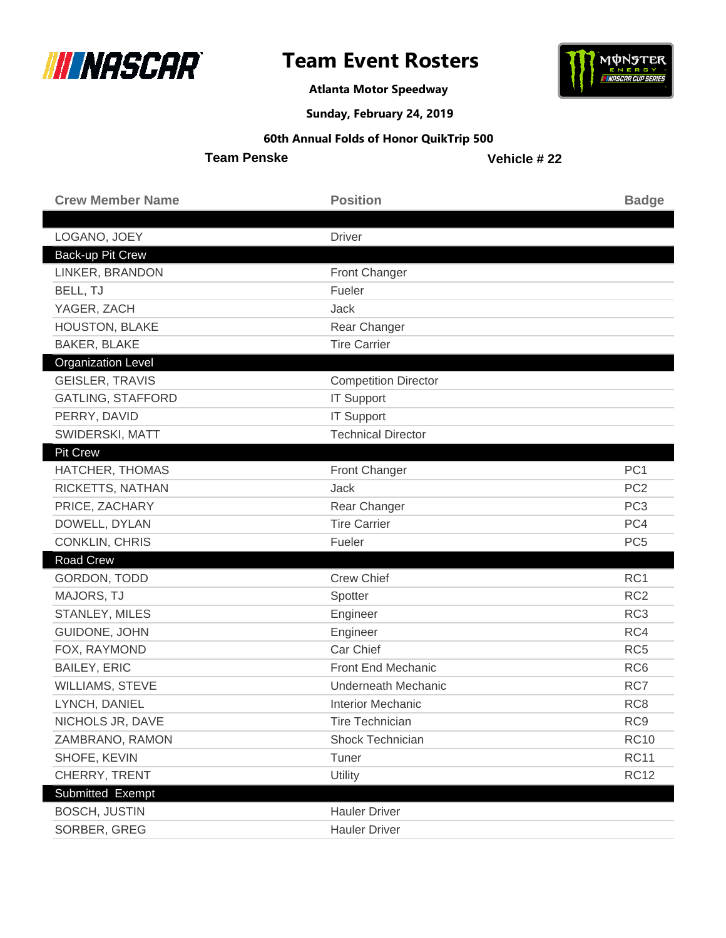



**Atlanta Motor Speedway**

**Sunday, February 24, 2019**

### **60th Annual Folds of Honor QuikTrip 500**

**Team Penske**

| <b>Crew Member Name</b>   | <b>Position</b>             | <b>Badge</b>    |
|---------------------------|-----------------------------|-----------------|
| LOGANO, JOEY              | <b>Driver</b>               |                 |
| Back-up Pit Crew          |                             |                 |
| LINKER, BRANDON           | Front Changer               |                 |
| BELL, TJ                  | Fueler                      |                 |
| YAGER, ZACH               | Jack                        |                 |
| HOUSTON, BLAKE            | Rear Changer                |                 |
| <b>BAKER, BLAKE</b>       | <b>Tire Carrier</b>         |                 |
| <b>Organization Level</b> |                             |                 |
| <b>GEISLER, TRAVIS</b>    | <b>Competition Director</b> |                 |
| <b>GATLING, STAFFORD</b>  | <b>IT Support</b>           |                 |
| PERRY, DAVID              | <b>IT Support</b>           |                 |
| SWIDERSKI, MATT           | <b>Technical Director</b>   |                 |
| <b>Pit Crew</b>           |                             |                 |
| HATCHER, THOMAS           | <b>Front Changer</b>        | PC <sub>1</sub> |
| RICKETTS, NATHAN          | <b>Jack</b>                 | PC <sub>2</sub> |
| PRICE, ZACHARY            | Rear Changer                | PC <sub>3</sub> |
| DOWELL, DYLAN             | <b>Tire Carrier</b>         | PC4             |
| CONKLIN, CHRIS            | Fueler                      | PC <sub>5</sub> |
| Road Crew                 |                             |                 |
| GORDON, TODD              | <b>Crew Chief</b>           | RC1             |
| MAJORS, TJ                | Spotter                     | RC <sub>2</sub> |
| STANLEY, MILES            | Engineer                    | RC <sub>3</sub> |
| GUIDONE, JOHN             | Engineer                    | RC4             |
| FOX, RAYMOND              | Car Chief                   | RC <sub>5</sub> |
| <b>BAILEY, ERIC</b>       | Front End Mechanic          | RC <sub>6</sub> |
| <b>WILLIAMS, STEVE</b>    | Underneath Mechanic         | RC7             |
| LYNCH, DANIEL             | <b>Interior Mechanic</b>    | RC <sub>8</sub> |
| NICHOLS JR, DAVE          | <b>Tire Technician</b>      | RC <sub>9</sub> |
| ZAMBRANO, RAMON           | Shock Technician            | <b>RC10</b>     |
| SHOFE, KEVIN              | Tuner                       | <b>RC11</b>     |
| CHERRY, TRENT             | Utility                     | <b>RC12</b>     |
| Submitted Exempt          |                             |                 |
| <b>BOSCH, JUSTIN</b>      | <b>Hauler Driver</b>        |                 |
| SORBER, GREG              | <b>Hauler Driver</b>        |                 |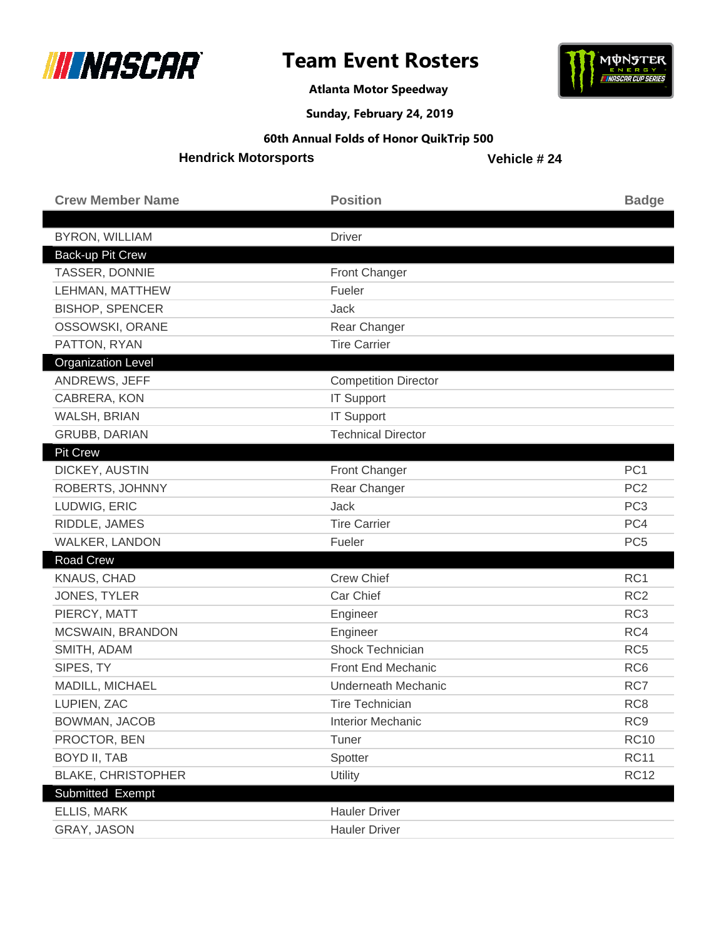



**Atlanta Motor Speedway**

**Sunday, February 24, 2019**

#### **60th Annual Folds of Honor QuikTrip 500**

**Hendrick Motorsports**

| <b>Crew Member Name</b>   | <b>Position</b>             | <b>Badge</b>    |
|---------------------------|-----------------------------|-----------------|
|                           |                             |                 |
| <b>BYRON, WILLIAM</b>     | Driver                      |                 |
| Back-up Pit Crew          |                             |                 |
| TASSER, DONNIE            | Front Changer               |                 |
| LEHMAN, MATTHEW           | Fueler                      |                 |
| <b>BISHOP, SPENCER</b>    | Jack                        |                 |
| OSSOWSKI, ORANE           | Rear Changer                |                 |
| PATTON, RYAN              | <b>Tire Carrier</b>         |                 |
| <b>Organization Level</b> |                             |                 |
| ANDREWS, JEFF             | <b>Competition Director</b> |                 |
| CABRERA, KON              | <b>IT Support</b>           |                 |
| WALSH, BRIAN              | <b>IT Support</b>           |                 |
| <b>GRUBB, DARIAN</b>      | <b>Technical Director</b>   |                 |
| <b>Pit Crew</b>           |                             |                 |
| DICKEY, AUSTIN            | Front Changer               | PC <sub>1</sub> |
| ROBERTS, JOHNNY           | Rear Changer                | PC <sub>2</sub> |
| LUDWIG, ERIC              | <b>Jack</b>                 | PC <sub>3</sub> |
| RIDDLE, JAMES             | <b>Tire Carrier</b>         | PC4             |
| WALKER, LANDON            | Fueler                      | PC <sub>5</sub> |
| <b>Road Crew</b>          |                             |                 |
| KNAUS, CHAD               | <b>Crew Chief</b>           | RC1             |
| JONES, TYLER              | Car Chief                   | RC <sub>2</sub> |
| PIERCY, MATT              | Engineer                    | RC <sub>3</sub> |
| MCSWAIN, BRANDON          | Engineer                    | RC4             |
| SMITH, ADAM               | Shock Technician            | RC <sub>5</sub> |
| SIPES, TY                 | Front End Mechanic          | RC <sub>6</sub> |
| MADILL, MICHAEL           | <b>Underneath Mechanic</b>  | RC7             |
| LUPIEN, ZAC               | <b>Tire Technician</b>      | RC <sub>8</sub> |
| BOWMAN, JACOB             | Interior Mechanic           | RC <sub>9</sub> |
| PROCTOR, BEN              | Tuner                       | <b>RC10</b>     |
| <b>BOYD II, TAB</b>       | Spotter                     | <b>RC11</b>     |
| <b>BLAKE, CHRISTOPHER</b> | Utility                     | <b>RC12</b>     |
| Submitted Exempt          |                             |                 |
| ELLIS, MARK               | <b>Hauler Driver</b>        |                 |
| GRAY, JASON               | <b>Hauler Driver</b>        |                 |
|                           |                             |                 |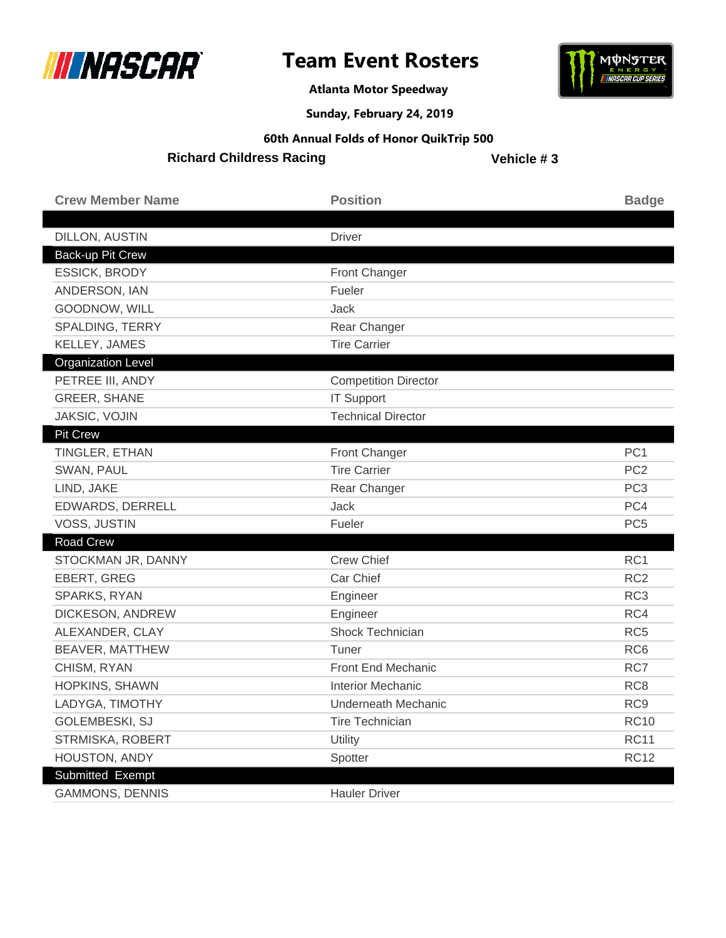

**Atlanta Motor Speedway**



**Sunday, February 24, 2019**

#### **60th Annual Folds of Honor QuikTrip 500**

**Richard Childress Racing**

| <b>Crew Member Name</b>   | <b>Position</b>             | <b>Badge</b>    |
|---------------------------|-----------------------------|-----------------|
| DILLON, AUSTIN            | <b>Driver</b>               |                 |
| Back-up Pit Crew          |                             |                 |
| ESSICK, BRODY             | <b>Front Changer</b>        |                 |
| ANDERSON, IAN             | Fueler                      |                 |
| GOODNOW, WILL             | Jack                        |                 |
| SPALDING, TERRY           | Rear Changer                |                 |
| KELLEY, JAMES             | <b>Tire Carrier</b>         |                 |
| <b>Organization Level</b> |                             |                 |
| PETREE III, ANDY          | <b>Competition Director</b> |                 |
| <b>GREER, SHANE</b>       | <b>IT Support</b>           |                 |
| JAKSIC, VOJIN             | <b>Technical Director</b>   |                 |
| <b>Pit Crew</b>           |                             |                 |
| TINGLER, ETHAN            | Front Changer               | PC <sub>1</sub> |
| SWAN, PAUL                | <b>Tire Carrier</b>         | PC <sub>2</sub> |
| LIND, JAKE                | Rear Changer                | PC <sub>3</sub> |
| EDWARDS, DERRELL          | Jack                        | PC4             |
| <b>VOSS, JUSTIN</b>       | Fueler                      | PC <sub>5</sub> |
| <b>Road Crew</b>          |                             |                 |
| STOCKMAN JR, DANNY        | <b>Crew Chief</b>           | RC1             |
| EBERT, GREG               | Car Chief                   | RC <sub>2</sub> |
| SPARKS, RYAN              | Engineer                    | RC <sub>3</sub> |
| DICKESON, ANDREW          | Engineer                    | RC4             |
| ALEXANDER, CLAY           | Shock Technician            | RC <sub>5</sub> |
| BEAVER, MATTHEW           | Tuner                       | RC <sub>6</sub> |
| CHISM, RYAN               | Front End Mechanic          | RC7             |
| HOPKINS, SHAWN            | <b>Interior Mechanic</b>    | RC <sub>8</sub> |
| LADYGA, TIMOTHY           | Underneath Mechanic         | RC <sub>9</sub> |
| GOLEMBESKI, SJ            | <b>Tire Technician</b>      | <b>RC10</b>     |
| STRMISKA, ROBERT          | Utility                     | <b>RC11</b>     |
| HOUSTON, ANDY             | Spotter                     | <b>RC12</b>     |
| <b>Submitted Exempt</b>   |                             |                 |
| <b>GAMMONS, DENNIS</b>    | <b>Hauler Driver</b>        |                 |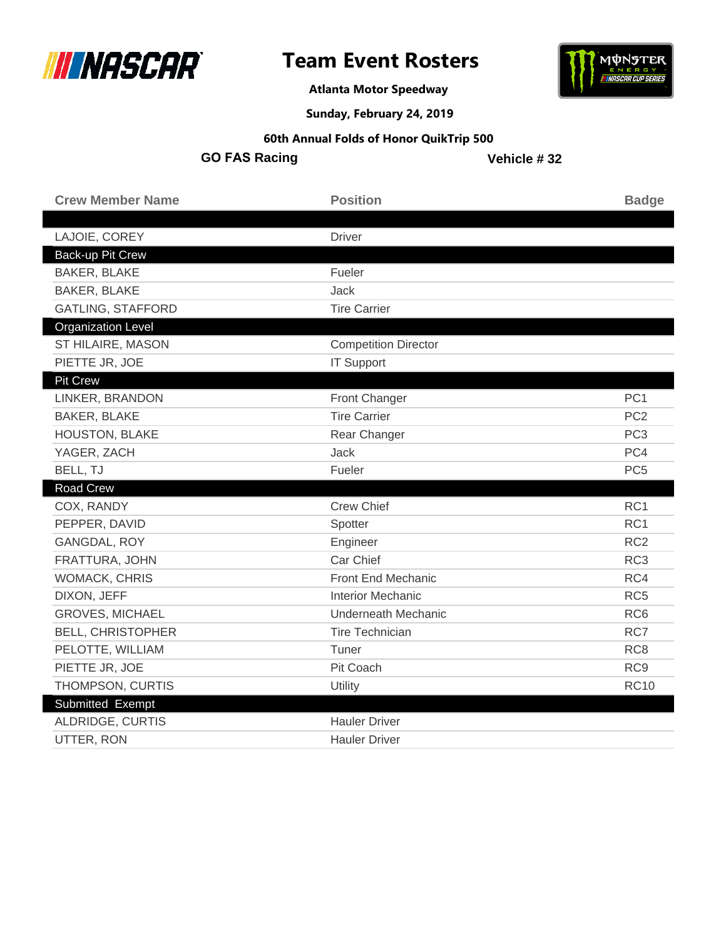



**Atlanta Motor Speedway**

**Sunday, February 24, 2019**

#### **60th Annual Folds of Honor QuikTrip 500**

**GO FAS Racing**

| <b>Crew Member Name</b>   | <b>Position</b>             | <b>Badge</b>    |
|---------------------------|-----------------------------|-----------------|
|                           |                             |                 |
| LAJOIE, COREY             | <b>Driver</b>               |                 |
| Back-up Pit Crew          |                             |                 |
| <b>BAKER, BLAKE</b>       | Fueler                      |                 |
| <b>BAKER, BLAKE</b>       | Jack                        |                 |
| <b>GATLING, STAFFORD</b>  | <b>Tire Carrier</b>         |                 |
| <b>Organization Level</b> |                             |                 |
| ST HILAIRE, MASON         | <b>Competition Director</b> |                 |
| PIETTE JR, JOE            | <b>IT Support</b>           |                 |
| <b>Pit Crew</b>           |                             |                 |
| LINKER, BRANDON           | Front Changer               | PC <sub>1</sub> |
| <b>BAKER, BLAKE</b>       | <b>Tire Carrier</b>         | PC <sub>2</sub> |
| <b>HOUSTON, BLAKE</b>     | Rear Changer                | PC <sub>3</sub> |
| YAGER, ZACH               | Jack                        | PC4             |
| BELL, TJ                  | Fueler                      | PC <sub>5</sub> |
| <b>Road Crew</b>          |                             |                 |
| COX, RANDY                | <b>Crew Chief</b>           | RC1             |
| PEPPER, DAVID             | Spotter                     | RC <sub>1</sub> |
| GANGDAL, ROY              | Engineer                    | RC <sub>2</sub> |
| FRATTURA, JOHN            | Car Chief                   | RC <sub>3</sub> |
| <b>WOMACK, CHRIS</b>      | Front End Mechanic          | RC4             |
| DIXON, JEFF               | <b>Interior Mechanic</b>    | RC <sub>5</sub> |
| <b>GROVES, MICHAEL</b>    | <b>Underneath Mechanic</b>  | RC <sub>6</sub> |
| <b>BELL, CHRISTOPHER</b>  | <b>Tire Technician</b>      | RC7             |
| PELOTTE, WILLIAM          | Tuner                       | RC <sub>8</sub> |
| PIETTE JR, JOE            | Pit Coach                   | RC <sub>9</sub> |
| THOMPSON, CURTIS          | Utility                     | <b>RC10</b>     |
| Submitted Exempt          |                             |                 |
| ALDRIDGE, CURTIS          | <b>Hauler Driver</b>        |                 |
| UTTER, RON                | <b>Hauler Driver</b>        |                 |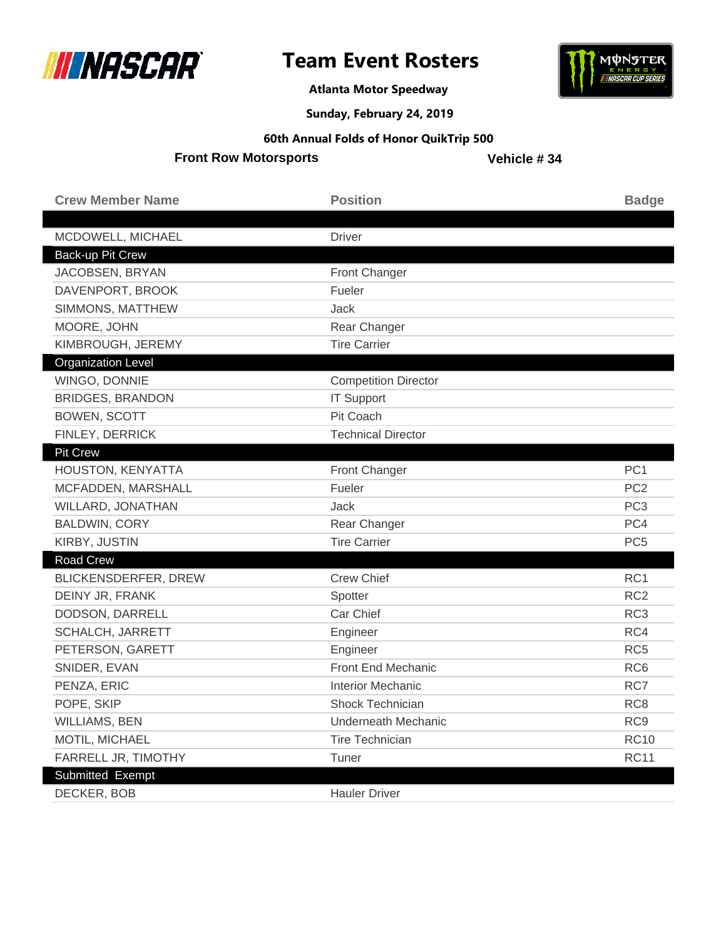



**Atlanta Motor Speedway**

**Sunday, February 24, 2019**

#### **60th Annual Folds of Honor QuikTrip 500**

**Front Row Motorsports**

| <b>Crew Member Name</b>     | <b>Position</b>             | <b>Badge</b>    |
|-----------------------------|-----------------------------|-----------------|
| MCDOWELL, MICHAEL           | <b>Driver</b>               |                 |
| Back-up Pit Crew            |                             |                 |
| JACOBSEN, BRYAN             | Front Changer               |                 |
| DAVENPORT, BROOK            | Fueler                      |                 |
| SIMMONS, MATTHEW            | Jack                        |                 |
| MOORE, JOHN                 | Rear Changer                |                 |
| KIMBROUGH, JEREMY           | <b>Tire Carrier</b>         |                 |
| <b>Organization Level</b>   |                             |                 |
| WINGO, DONNIE               | <b>Competition Director</b> |                 |
| <b>BRIDGES, BRANDON</b>     | <b>IT Support</b>           |                 |
| <b>BOWEN, SCOTT</b>         | Pit Coach                   |                 |
| FINLEY, DERRICK             | <b>Technical Director</b>   |                 |
| <b>Pit Crew</b>             |                             |                 |
| HOUSTON, KENYATTA           | Front Changer               | PC <sub>1</sub> |
| MCFADDEN, MARSHALL          | Fueler                      | PC <sub>2</sub> |
| WILLARD, JONATHAN           | Jack                        | PC <sub>3</sub> |
| <b>BALDWIN, CORY</b>        | Rear Changer                | PC4             |
| KIRBY, JUSTIN               | <b>Tire Carrier</b>         | PC <sub>5</sub> |
| <b>Road Crew</b>            |                             |                 |
| <b>BLICKENSDERFER, DREW</b> | <b>Crew Chief</b>           | RC1             |
| DEINY JR, FRANK             | Spotter                     | RC <sub>2</sub> |
| DODSON, DARRELL             | Car Chief                   | RC <sub>3</sub> |
| SCHALCH, JARRETT            | Engineer                    | RC4             |
| PETERSON, GARETT            | Engineer                    | RC <sub>5</sub> |
| SNIDER, EVAN                | Front End Mechanic          | RC <sub>6</sub> |
| PENZA, ERIC                 | <b>Interior Mechanic</b>    | RC7             |
| POPE, SKIP                  | Shock Technician            | RC <sub>8</sub> |
| <b>WILLIAMS, BEN</b>        | Underneath Mechanic         | RC <sub>9</sub> |
| MOTIL, MICHAEL              | <b>Tire Technician</b>      | <b>RC10</b>     |
| FARRELL JR, TIMOTHY         | Tuner                       | <b>RC11</b>     |
| Submitted Exempt            |                             |                 |
| DECKER, BOB                 | <b>Hauler Driver</b>        |                 |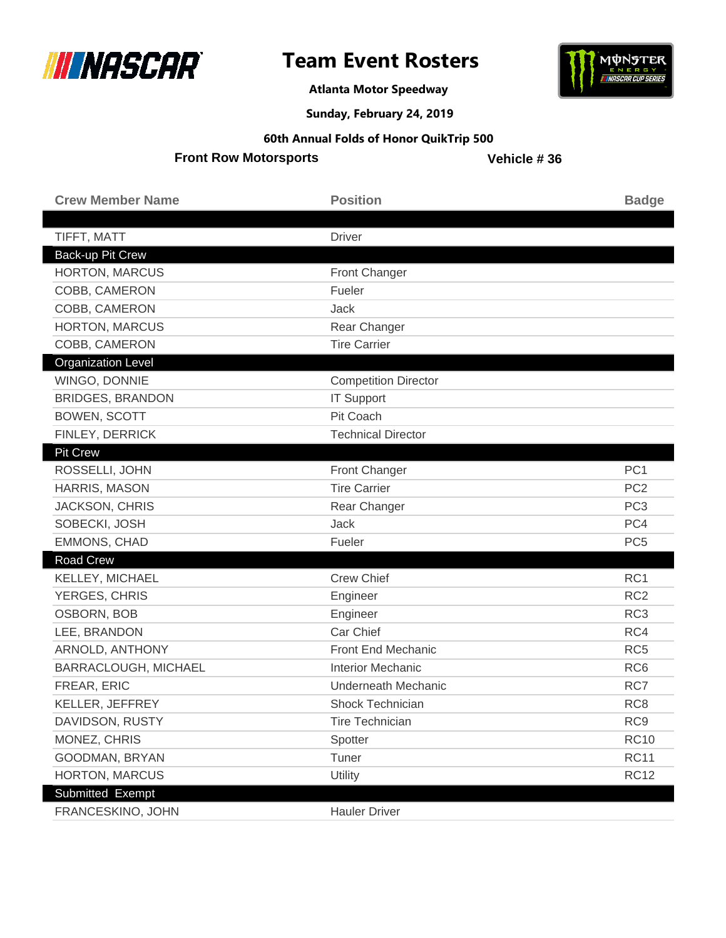



**Atlanta Motor Speedway**

**Sunday, February 24, 2019**

#### **60th Annual Folds of Honor QuikTrip 500**

**Front Row Motorsports**

| <b>Crew Member Name</b>                   | <b>Position</b>                     | <b>Badge</b>    |
|-------------------------------------------|-------------------------------------|-----------------|
|                                           |                                     |                 |
| TIFFT, MATT                               | <b>Driver</b>                       |                 |
| Back-up Pit Crew<br><b>HORTON, MARCUS</b> |                                     |                 |
| COBB, CAMERON                             | Front Changer<br>Fueler             |                 |
|                                           |                                     |                 |
| COBB, CAMERON                             | <b>Jack</b>                         |                 |
| HORTON, MARCUS                            | Rear Changer<br><b>Tire Carrier</b> |                 |
| COBB, CAMERON                             |                                     |                 |
| <b>Organization Level</b>                 |                                     |                 |
| WINGO, DONNIE                             | <b>Competition Director</b>         |                 |
| <b>BRIDGES, BRANDON</b>                   | <b>IT Support</b>                   |                 |
| <b>BOWEN, SCOTT</b>                       | Pit Coach                           |                 |
| FINLEY, DERRICK                           | <b>Technical Director</b>           |                 |
| <b>Pit Crew</b>                           |                                     |                 |
| ROSSELLI, JOHN                            | Front Changer                       | PC <sub>1</sub> |
| HARRIS, MASON                             | <b>Tire Carrier</b>                 | PC <sub>2</sub> |
| <b>JACKSON, CHRIS</b>                     | Rear Changer                        | PC <sub>3</sub> |
| SOBECKI, JOSH                             | Jack                                | PC4             |
| EMMONS, CHAD                              | Fueler                              | PC <sub>5</sub> |
| <b>Road Crew</b>                          |                                     |                 |
| KELLEY, MICHAEL                           | <b>Crew Chief</b>                   | RC1             |
| YERGES, CHRIS                             | Engineer                            | RC <sub>2</sub> |
| OSBORN, BOB                               | Engineer                            | RC <sub>3</sub> |
| LEE, BRANDON                              | Car Chief                           | RC4             |
| ARNOLD, ANTHONY                           | Front End Mechanic                  | RC <sub>5</sub> |
| BARRACLOUGH, MICHAEL                      | <b>Interior Mechanic</b>            | RC <sub>6</sub> |
| FREAR, ERIC                               | <b>Underneath Mechanic</b>          | RC7             |
| KELLER, JEFFREY                           | Shock Technician                    | RC <sub>8</sub> |
| DAVIDSON, RUSTY                           | <b>Tire Technician</b>              | RC <sub>9</sub> |
| MONEZ, CHRIS                              | Spotter                             | <b>RC10</b>     |
| GOODMAN, BRYAN                            | Tuner                               | <b>RC11</b>     |
| HORTON, MARCUS                            | Utility                             | <b>RC12</b>     |
| Submitted Exempt                          |                                     |                 |
| FRANCESKINO, JOHN                         | <b>Hauler Driver</b>                |                 |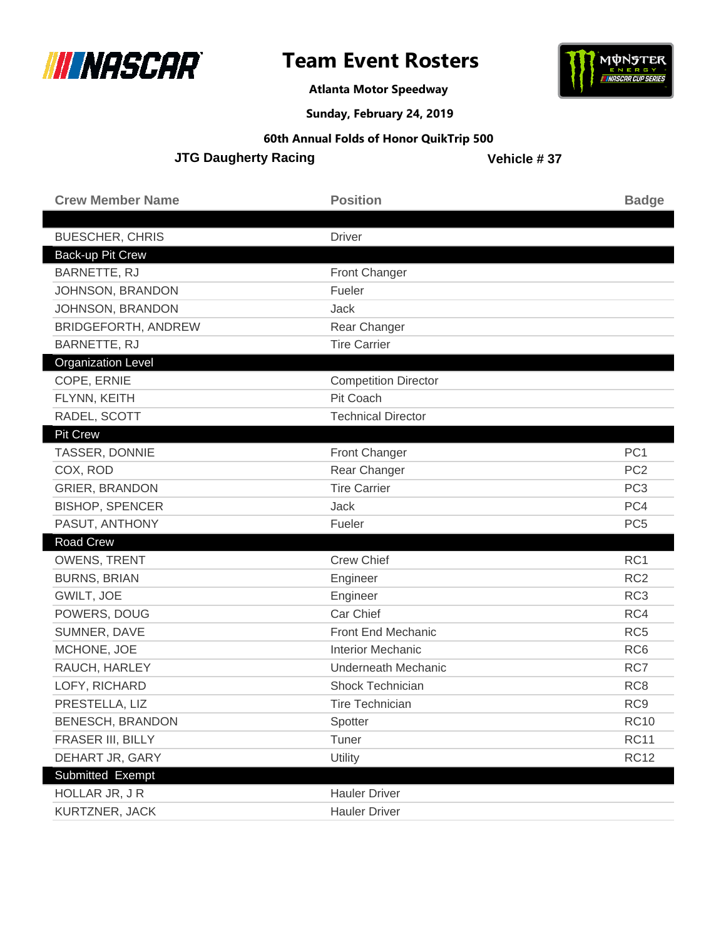



**Atlanta Motor Speedway**

**Sunday, February 24, 2019**

#### **60th Annual Folds of Honor QuikTrip 500**

**JTG Daugherty Racing** 

| <b>Crew Member Name</b>    | <b>Position</b>             | <b>Badge</b>    |
|----------------------------|-----------------------------|-----------------|
| <b>BUESCHER, CHRIS</b>     | <b>Driver</b>               |                 |
| Back-up Pit Crew           |                             |                 |
| BARNETTE, RJ               | <b>Front Changer</b>        |                 |
| JOHNSON, BRANDON           | Fueler                      |                 |
| JOHNSON, BRANDON           | Jack                        |                 |
| <b>BRIDGEFORTH, ANDREW</b> | Rear Changer                |                 |
| BARNETTE, RJ               | <b>Tire Carrier</b>         |                 |
| <b>Organization Level</b>  |                             |                 |
| COPE, ERNIE                | <b>Competition Director</b> |                 |
| FLYNN, KEITH               | Pit Coach                   |                 |
| RADEL, SCOTT               | <b>Technical Director</b>   |                 |
| Pit Crew                   |                             |                 |
| TASSER, DONNIE             | <b>Front Changer</b>        | PC <sub>1</sub> |
| COX, ROD                   | Rear Changer                | PC <sub>2</sub> |
| <b>GRIER, BRANDON</b>      | <b>Tire Carrier</b>         | PC <sub>3</sub> |
| <b>BISHOP, SPENCER</b>     | Jack                        | PC4             |
| PASUT, ANTHONY             | Fueler                      | PC <sub>5</sub> |
| <b>Road Crew</b>           |                             |                 |
| <b>OWENS, TRENT</b>        | <b>Crew Chief</b>           | RC1             |
| <b>BURNS, BRIAN</b>        | Engineer                    | RC <sub>2</sub> |
| GWILT, JOE                 | Engineer                    | RC <sub>3</sub> |
| POWERS, DOUG               | Car Chief                   | RC4             |
| SUMNER, DAVE               | Front End Mechanic          | RC <sub>5</sub> |
| MCHONE, JOE                | <b>Interior Mechanic</b>    | RC <sub>6</sub> |
| RAUCH, HARLEY              | <b>Underneath Mechanic</b>  | RC7             |
| LOFY, RICHARD              | Shock Technician            | RC <sub>8</sub> |
| PRESTELLA, LIZ             | <b>Tire Technician</b>      | RC <sub>9</sub> |
| BENESCH, BRANDON           | Spotter                     | <b>RC10</b>     |
| FRASER III, BILLY          | Tuner                       | <b>RC11</b>     |
| DEHART JR, GARY            | Utility                     | <b>RC12</b>     |
| Submitted Exempt           |                             |                 |
| HOLLAR JR, JR              | <b>Hauler Driver</b>        |                 |
| KURTZNER, JACK             | <b>Hauler Driver</b>        |                 |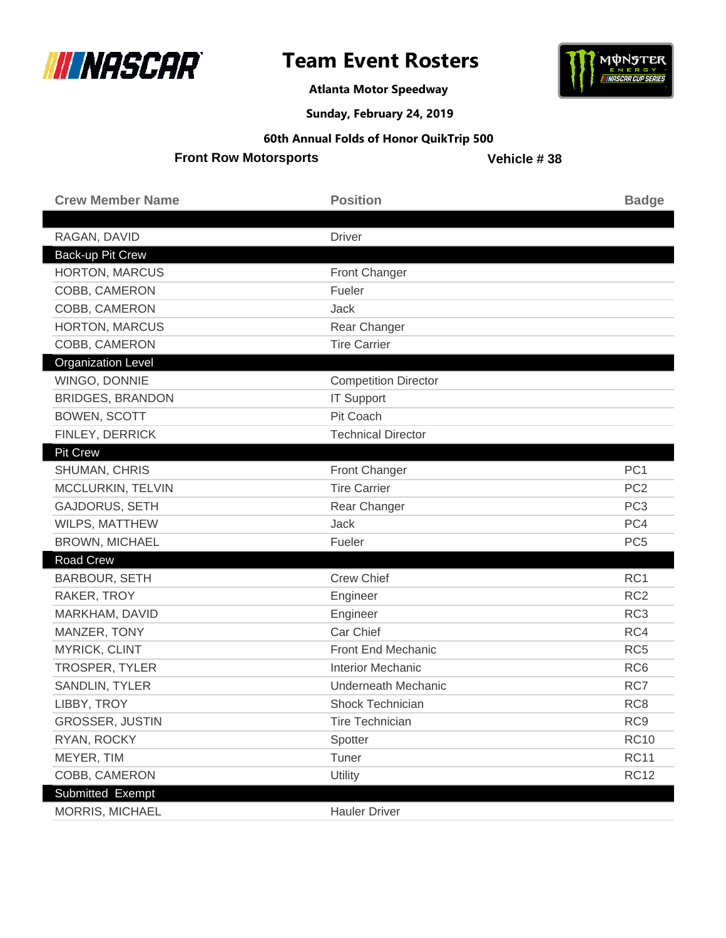



**Atlanta Motor Speedway**

**Sunday, February 24, 2019**

#### **60th Annual Folds of Honor QuikTrip 500**

**Front Row Motorsports**

| <b>Crew Member Name</b>   | <b>Position</b>             | <b>Badge</b>    |
|---------------------------|-----------------------------|-----------------|
| RAGAN, DAVID              | <b>Driver</b>               |                 |
| Back-up Pit Crew          |                             |                 |
| HORTON, MARCUS            | <b>Front Changer</b>        |                 |
| COBB, CAMERON             | Fueler                      |                 |
| COBB, CAMERON             | Jack                        |                 |
| HORTON, MARCUS            | Rear Changer                |                 |
| COBB, CAMERON             | <b>Tire Carrier</b>         |                 |
| <b>Organization Level</b> |                             |                 |
| WINGO, DONNIE             | <b>Competition Director</b> |                 |
| <b>BRIDGES, BRANDON</b>   | <b>IT Support</b>           |                 |
| <b>BOWEN, SCOTT</b>       | Pit Coach                   |                 |
| FINLEY, DERRICK           | <b>Technical Director</b>   |                 |
| <b>Pit Crew</b>           |                             |                 |
| SHUMAN, CHRIS             | Front Changer               | PC <sub>1</sub> |
| MCCLURKIN, TELVIN         | <b>Tire Carrier</b>         | PC <sub>2</sub> |
| <b>GAJDORUS, SETH</b>     | Rear Changer                | PC <sub>3</sub> |
| WILPS, MATTHEW            | Jack                        | PC4             |
| <b>BROWN, MICHAEL</b>     | Fueler                      | PC <sub>5</sub> |
| <b>Road Crew</b>          |                             |                 |
| <b>BARBOUR, SETH</b>      | <b>Crew Chief</b>           | RC1             |
| RAKER, TROY               | Engineer                    | RC <sub>2</sub> |
| MARKHAM, DAVID            | Engineer                    | RC <sub>3</sub> |
| MANZER, TONY              | Car Chief                   | RC4             |
| MYRICK, CLINT             | Front End Mechanic          | RC <sub>5</sub> |
| TROSPER, TYLER            | <b>Interior Mechanic</b>    | RC <sub>6</sub> |
| <b>SANDLIN, TYLER</b>     | <b>Underneath Mechanic</b>  | RC7             |
| LIBBY, TROY               | <b>Shock Technician</b>     | RC <sub>8</sub> |
| GROSSER, JUSTIN           | <b>Tire Technician</b>      | RC <sub>9</sub> |
| RYAN, ROCKY               | Spotter                     | <b>RC10</b>     |
| MEYER, TIM                | Tuner                       | <b>RC11</b>     |
| COBB, CAMERON             | Utility                     | <b>RC12</b>     |
| Submitted Exempt          |                             |                 |
| MORRIS, MICHAEL           | <b>Hauler Driver</b>        |                 |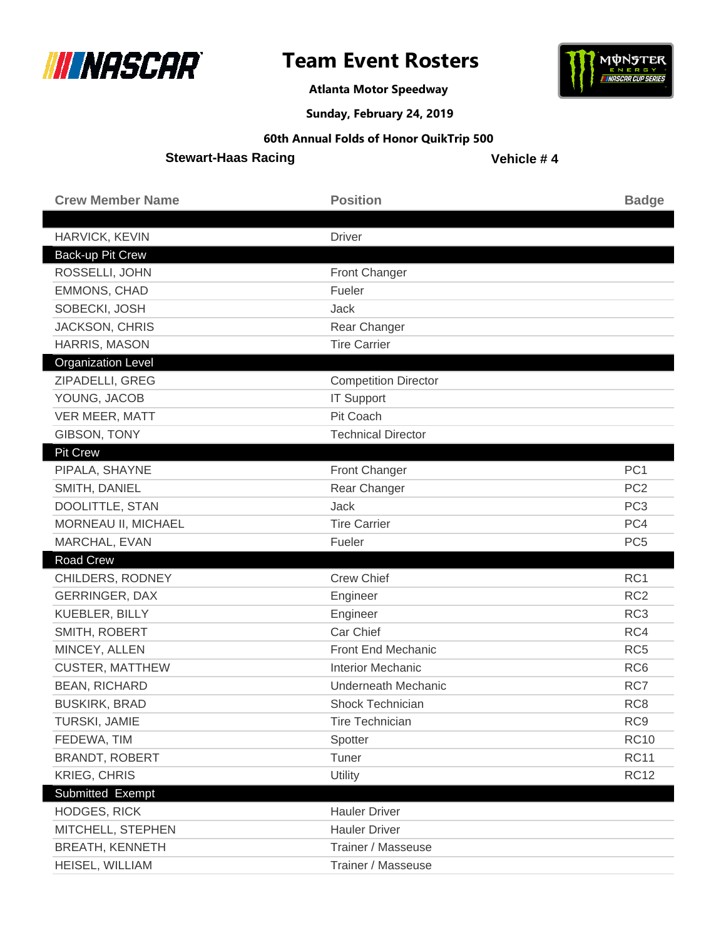



**Atlanta Motor Speedway**

**Sunday, February 24, 2019**

#### **60th Annual Folds of Honor QuikTrip 500**

**Stewart-Haas Racing**

| <b>Crew Member Name</b>                   | <b>Position</b>                          | <b>Badge</b>    |
|-------------------------------------------|------------------------------------------|-----------------|
|                                           |                                          |                 |
| HARVICK, KEVIN                            | <b>Driver</b>                            |                 |
| Back-up Pit Crew                          |                                          |                 |
| ROSSELLI, JOHN                            | Front Changer                            |                 |
| <b>EMMONS, CHAD</b>                       | Fueler                                   |                 |
| SOBECKI, JOSH                             | Jack                                     |                 |
| <b>JACKSON, CHRIS</b>                     | Rear Changer                             |                 |
| HARRIS, MASON                             | <b>Tire Carrier</b>                      |                 |
| <b>Organization Level</b>                 |                                          |                 |
| ZIPADELLI, GREG                           | <b>Competition Director</b>              |                 |
| YOUNG, JACOB                              | <b>IT Support</b>                        |                 |
| VER MEER, MATT                            | Pit Coach                                |                 |
| GIBSON, TONY                              | <b>Technical Director</b>                |                 |
| Pit Crew                                  |                                          |                 |
| PIPALA, SHAYNE                            | Front Changer                            | PC <sub>1</sub> |
| SMITH, DANIEL                             | Rear Changer                             | PC <sub>2</sub> |
| DOOLITTLE, STAN                           | <b>Jack</b>                              | PC <sub>3</sub> |
| MORNEAU II, MICHAEL                       | <b>Tire Carrier</b>                      | PC4             |
|                                           |                                          |                 |
| MARCHAL, EVAN                             | Fueler                                   | PC <sub>5</sub> |
| <b>Road Crew</b>                          |                                          |                 |
| CHILDERS, RODNEY                          | <b>Crew Chief</b>                        | RC1             |
| <b>GERRINGER, DAX</b>                     | Engineer                                 | RC <sub>2</sub> |
| KUEBLER, BILLY                            | Engineer                                 | RC <sub>3</sub> |
| SMITH, ROBERT                             | Car Chief                                | RC4             |
| MINCEY, ALLEN                             | Front End Mechanic                       | RC <sub>5</sub> |
| <b>CUSTER, MATTHEW</b>                    | <b>Interior Mechanic</b>                 | RC <sub>6</sub> |
| <b>BEAN, RICHARD</b>                      | <b>Underneath Mechanic</b>               | RC7             |
| <b>BUSKIRK, BRAD</b>                      | Shock Technician                         | RC <sub>8</sub> |
| TURSKI, JAMIE                             | <b>Tire Technician</b>                   | RC <sub>9</sub> |
| FEDEWA, TIM                               | Spotter                                  | <b>RC10</b>     |
| <b>BRANDT, ROBERT</b>                     | Tuner                                    | <b>RC11</b>     |
| <b>KRIEG, CHRIS</b>                       | Utility                                  | <b>RC12</b>     |
| Submitted Exempt                          |                                          |                 |
| <b>HODGES, RICK</b>                       | <b>Hauler Driver</b>                     |                 |
| MITCHELL, STEPHEN                         | <b>Hauler Driver</b>                     |                 |
| <b>BREATH, KENNETH</b><br>HEISEL, WILLIAM | Trainer / Masseuse<br>Trainer / Masseuse |                 |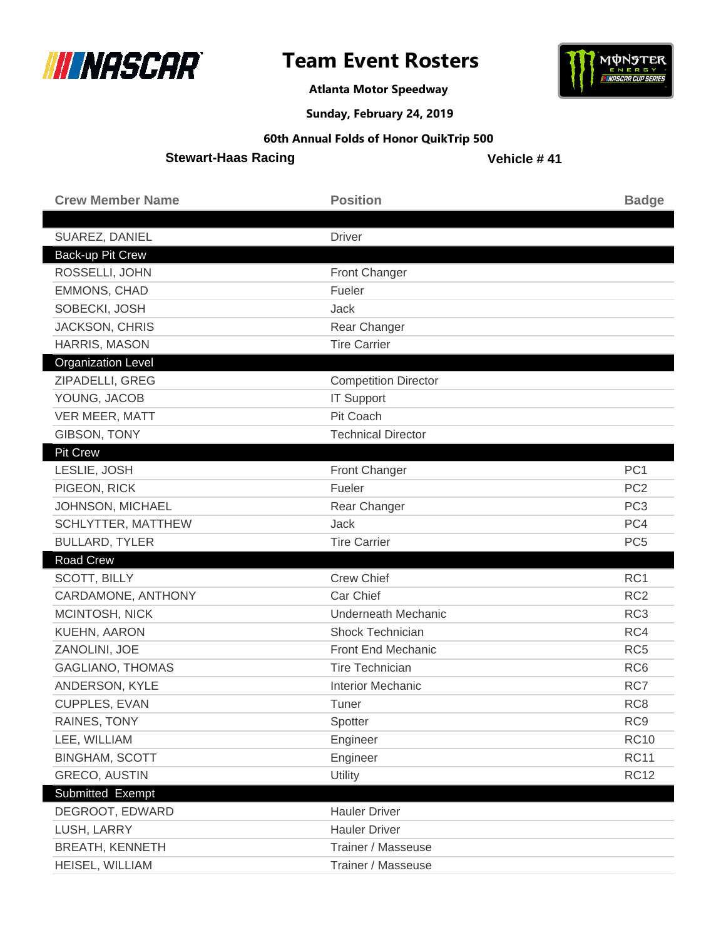



**Atlanta Motor Speedway**

**Sunday, February 24, 2019**

### **60th Annual Folds of Honor QuikTrip 500**

**Stewart-Haas Racing**

| <b>Crew Member Name</b>   | <b>Position</b>             | <b>Badge</b>    |
|---------------------------|-----------------------------|-----------------|
|                           |                             |                 |
| SUAREZ, DANIEL            | <b>Driver</b>               |                 |
| Back-up Pit Crew          |                             |                 |
| ROSSELLI, JOHN            | Front Changer               |                 |
| EMMONS, CHAD              | Fueler                      |                 |
| SOBECKI, JOSH             | Jack                        |                 |
| JACKSON, CHRIS            | Rear Changer                |                 |
| <b>HARRIS, MASON</b>      | <b>Tire Carrier</b>         |                 |
| <b>Organization Level</b> |                             |                 |
| ZIPADELLI, GREG           | <b>Competition Director</b> |                 |
| YOUNG, JACOB              | <b>IT Support</b>           |                 |
| VER MEER, MATT            | Pit Coach                   |                 |
| GIBSON, TONY              | <b>Technical Director</b>   |                 |
| Pit Crew                  |                             |                 |
| LESLIE, JOSH              | Front Changer               | PC <sub>1</sub> |
| PIGEON, RICK              | Fueler                      | PC <sub>2</sub> |
| JOHNSON, MICHAEL          | Rear Changer                | PC <sub>3</sub> |
| SCHLYTTER, MATTHEW        | <b>Jack</b>                 | PC4             |
| <b>BULLARD, TYLER</b>     | <b>Tire Carrier</b>         | PC <sub>5</sub> |
| <b>Road Crew</b>          |                             |                 |
| SCOTT, BILLY              | <b>Crew Chief</b>           | RC1             |
| CARDAMONE, ANTHONY        | Car Chief                   | RC <sub>2</sub> |
| MCINTOSH, NICK            | <b>Underneath Mechanic</b>  | RC <sub>3</sub> |
| <b>KUEHN, AARON</b>       | Shock Technician            | RC4             |
| ZANOLINI, JOE             | Front End Mechanic          | RC <sub>5</sub> |
| <b>GAGLIANO, THOMAS</b>   | <b>Tire Technician</b>      | RC <sub>6</sub> |
| ANDERSON, KYLE            | <b>Interior Mechanic</b>    | RC7             |
| CUPPLES, EVAN             | Tuner                       | RC <sub>8</sub> |
| RAINES, TONY              | Spotter                     | RC <sub>9</sub> |
| LEE, WILLIAM              | Engineer                    | <b>RC10</b>     |
| <b>BINGHAM, SCOTT</b>     | Engineer                    | <b>RC11</b>     |
| <b>GRECO, AUSTIN</b>      | <b>Utility</b>              | <b>RC12</b>     |
| Submitted Exempt          |                             |                 |
| DEGROOT, EDWARD           | <b>Hauler Driver</b>        |                 |
| LUSH, LARRY               | <b>Hauler Driver</b>        |                 |
|                           |                             |                 |
| <b>BREATH, KENNETH</b>    | Trainer / Masseuse          |                 |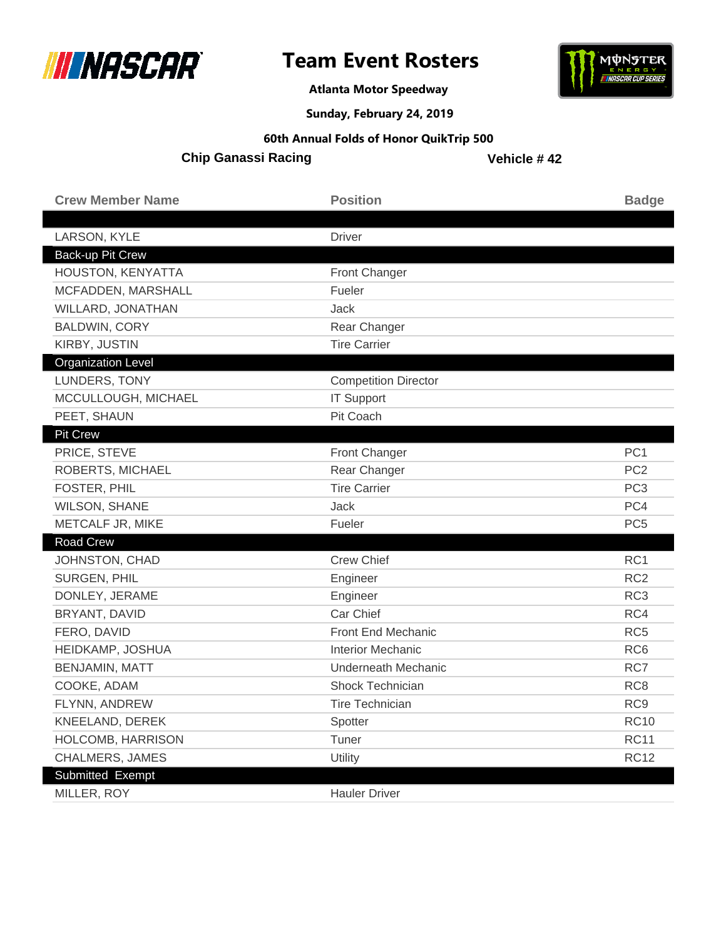



**Atlanta Motor Speedway**

**Sunday, February 24, 2019**

#### **60th Annual Folds of Honor QuikTrip 500**

**Chip Ganassi Racing**

| <b>Crew Member Name</b>   | <b>Position</b>             | <b>Badge</b>    |
|---------------------------|-----------------------------|-----------------|
| LARSON, KYLE              | <b>Driver</b>               |                 |
| <b>Back-up Pit Crew</b>   |                             |                 |
| HOUSTON, KENYATTA         | Front Changer               |                 |
| MCFADDEN, MARSHALL        | Fueler                      |                 |
| WILLARD, JONATHAN         | Jack                        |                 |
| <b>BALDWIN, CORY</b>      | Rear Changer                |                 |
| KIRBY, JUSTIN             | <b>Tire Carrier</b>         |                 |
| <b>Organization Level</b> |                             |                 |
| LUNDERS, TONY             | <b>Competition Director</b> |                 |
| MCCULLOUGH, MICHAEL       | <b>IT Support</b>           |                 |
| PEET, SHAUN               | Pit Coach                   |                 |
| <b>Pit Crew</b>           |                             |                 |
| PRICE, STEVE              | Front Changer               | PC <sub>1</sub> |
| ROBERTS, MICHAEL          | Rear Changer                | PC <sub>2</sub> |
| FOSTER, PHIL              | <b>Tire Carrier</b>         | PC <sub>3</sub> |
| <b>WILSON, SHANE</b>      | <b>Jack</b>                 | PC4             |
| METCALF JR, MIKE          | Fueler                      | PC <sub>5</sub> |
| Road Crew                 |                             |                 |
| JOHNSTON, CHAD            | <b>Crew Chief</b>           | RC1             |
| <b>SURGEN, PHIL</b>       | Engineer                    | RC <sub>2</sub> |
| DONLEY, JERAME            | Engineer                    | RC <sub>3</sub> |
| BRYANT, DAVID             | Car Chief                   | RC4             |
| FERO, DAVID               | Front End Mechanic          | RC <sub>5</sub> |
| HEIDKAMP, JOSHUA          | <b>Interior Mechanic</b>    | RC <sub>6</sub> |
| <b>BENJAMIN, MATT</b>     | Underneath Mechanic         | RC7             |
| COOKE, ADAM               | <b>Shock Technician</b>     | RC <sub>8</sub> |
| FLYNN, ANDREW             | <b>Tire Technician</b>      | RC <sub>9</sub> |
| KNEELAND, DEREK           | Spotter                     | <b>RC10</b>     |
| HOLCOMB, HARRISON         | Tuner                       | <b>RC11</b>     |
| CHALMERS, JAMES           | Utility                     | <b>RC12</b>     |
| Submitted Exempt          |                             |                 |
| MILLER, ROY               | <b>Hauler Driver</b>        |                 |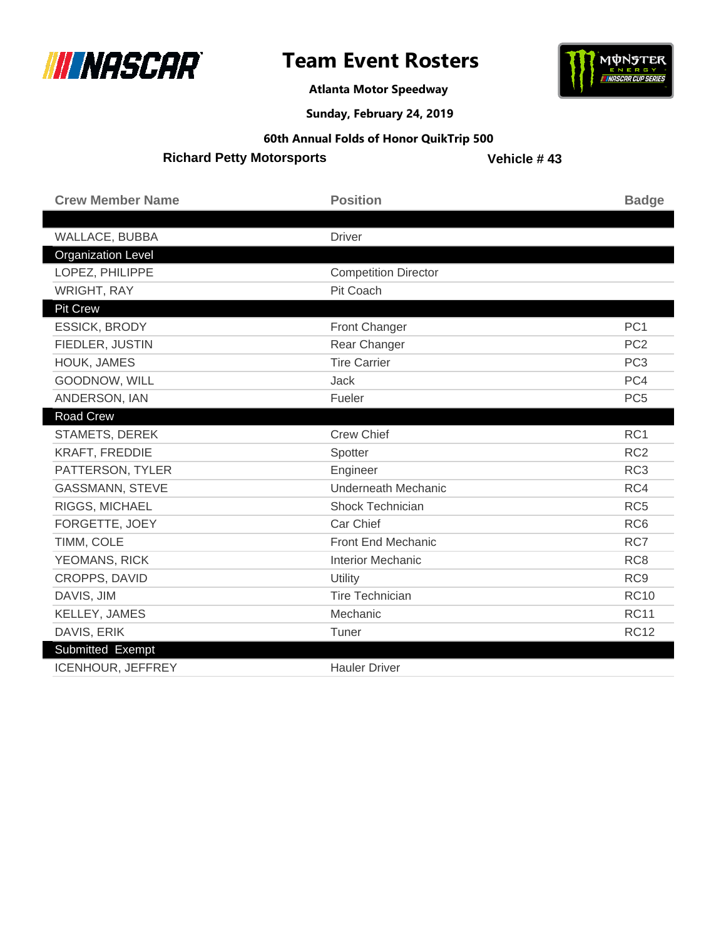

**Atlanta Motor Speedway**



**Sunday, February 24, 2019**

#### **60th Annual Folds of Honor QuikTrip 500**

**Richard Petty Motorsports** 

| <b>Crew Member Name</b>   | <b>Position</b>             | <b>Badge</b>    |
|---------------------------|-----------------------------|-----------------|
|                           |                             |                 |
| WALLACE, BUBBA            | <b>Driver</b>               |                 |
| <b>Organization Level</b> |                             |                 |
| LOPEZ, PHILIPPE           | <b>Competition Director</b> |                 |
| <b>WRIGHT, RAY</b>        | Pit Coach                   |                 |
| <b>Pit Crew</b>           |                             |                 |
| <b>ESSICK, BRODY</b>      | Front Changer               | PC <sub>1</sub> |
| FIEDLER, JUSTIN           | Rear Changer                | PC <sub>2</sub> |
| HOUK, JAMES               | <b>Tire Carrier</b>         | PC <sub>3</sub> |
| GOODNOW, WILL             | <b>Jack</b>                 | PC4             |
| ANDERSON, IAN             | Fueler                      | PC <sub>5</sub> |
| Road Crew                 |                             |                 |
| STAMETS, DEREK            | <b>Crew Chief</b>           | RC1             |
| <b>KRAFT, FREDDIE</b>     | Spotter                     | RC <sub>2</sub> |
| PATTERSON, TYLER          | Engineer                    | RC <sub>3</sub> |
| <b>GASSMANN, STEVE</b>    | <b>Underneath Mechanic</b>  | RC4             |
| RIGGS, MICHAEL            | Shock Technician            | RC <sub>5</sub> |
| FORGETTE, JOEY            | Car Chief                   | RC <sub>6</sub> |
| TIMM, COLE                | <b>Front End Mechanic</b>   | RC7             |
| YEOMANS, RICK             | <b>Interior Mechanic</b>    | RC <sub>8</sub> |
| <b>CROPPS, DAVID</b>      | Utility                     | RC <sub>9</sub> |
| DAVIS, JIM                | <b>Tire Technician</b>      | <b>RC10</b>     |
| KELLEY, JAMES             | Mechanic                    | <b>RC11</b>     |
| DAVIS, ERIK               | Tuner                       | <b>RC12</b>     |
| Submitted Exempt          |                             |                 |
| <b>ICENHOUR, JEFFREY</b>  | <b>Hauler Driver</b>        |                 |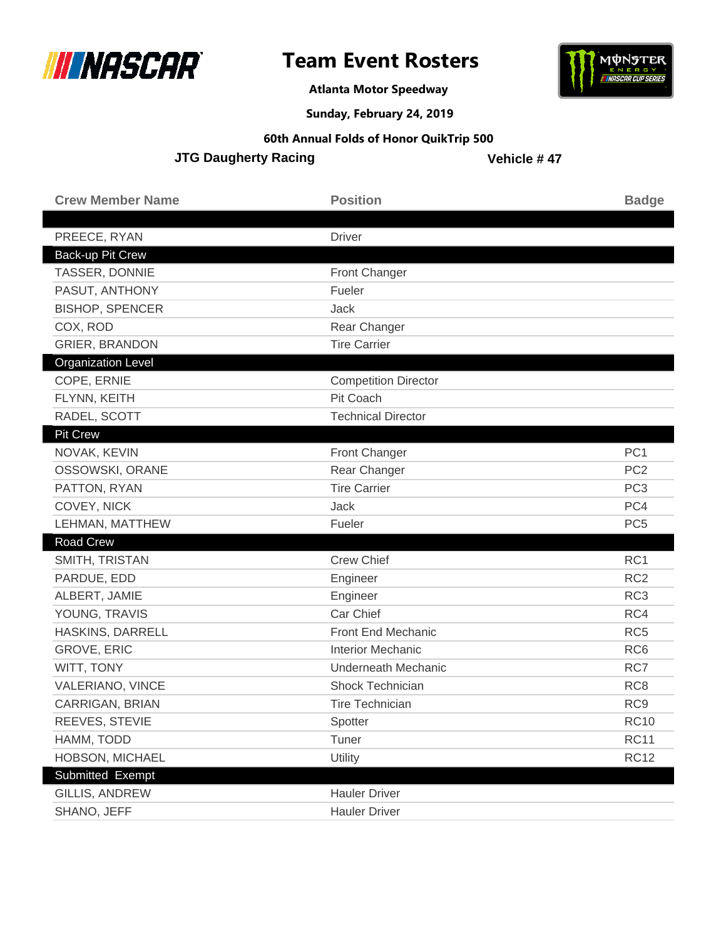



**Atlanta Motor Speedway**

**Sunday, February 24, 2019**

#### **60th Annual Folds of Honor QuikTrip 500**

**JTG Daugherty Racing** 

| <b>Crew Member Name</b>   | <b>Position</b>             | <b>Badge</b>    |
|---------------------------|-----------------------------|-----------------|
| PREECE, RYAN              | <b>Driver</b>               |                 |
| Back-up Pit Crew          |                             |                 |
| TASSER, DONNIE            | <b>Front Changer</b>        |                 |
| PASUT, ANTHONY            | Fueler                      |                 |
| <b>BISHOP, SPENCER</b>    | Jack                        |                 |
| COX, ROD                  | Rear Changer                |                 |
| <b>GRIER, BRANDON</b>     | <b>Tire Carrier</b>         |                 |
| <b>Organization Level</b> |                             |                 |
| COPE, ERNIE               | <b>Competition Director</b> |                 |
| FLYNN, KEITH              | Pit Coach                   |                 |
| RADEL, SCOTT              | <b>Technical Director</b>   |                 |
| <b>Pit Crew</b>           |                             |                 |
| NOVAK, KEVIN              | <b>Front Changer</b>        | PC <sub>1</sub> |
| OSSOWSKI, ORANE           | Rear Changer                | PC <sub>2</sub> |
| PATTON, RYAN              | <b>Tire Carrier</b>         | PC <sub>3</sub> |
| COVEY, NICK               | Jack                        | PC4             |
| LEHMAN, MATTHEW           | Fueler                      | PC <sub>5</sub> |
| <b>Road Crew</b>          |                             |                 |
| SMITH, TRISTAN            | <b>Crew Chief</b>           | RC1             |
| PARDUE, EDD               | Engineer                    | RC <sub>2</sub> |
| ALBERT, JAMIE             | Engineer                    | RC <sub>3</sub> |
| YOUNG, TRAVIS             | Car Chief                   | RC4             |
| HASKINS, DARRELL          | Front End Mechanic          | RC <sub>5</sub> |
| <b>GROVE, ERIC</b>        | <b>Interior Mechanic</b>    | RC <sub>6</sub> |
| WITT, TONY                | <b>Underneath Mechanic</b>  | RC7             |
| <b>VALERIANO, VINCE</b>   | Shock Technician            | RC <sub>8</sub> |
| CARRIGAN, BRIAN           | <b>Tire Technician</b>      | RC <sub>9</sub> |
| REEVES, STEVIE            | Spotter                     | <b>RC10</b>     |
| HAMM, TODD                | Tuner                       | <b>RC11</b>     |
| HOBSON, MICHAEL           | Utility                     | <b>RC12</b>     |
| Submitted Exempt          |                             |                 |
| GILLIS, ANDREW            | <b>Hauler Driver</b>        |                 |
| SHANO, JEFF               | <b>Hauler Driver</b>        |                 |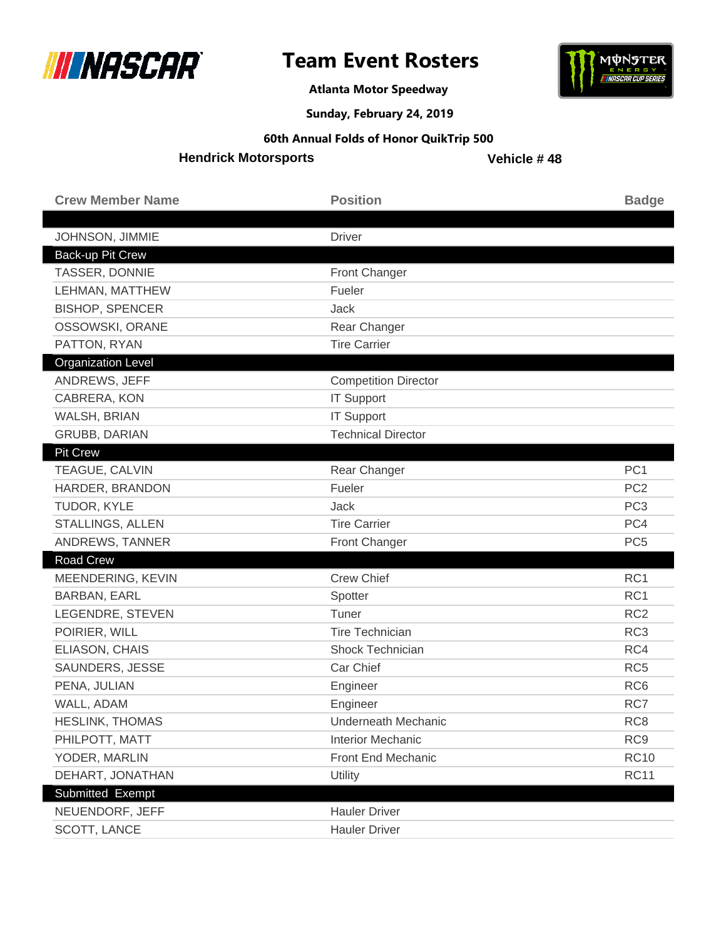



**Atlanta Motor Speedway**

**Sunday, February 24, 2019**

#### **60th Annual Folds of Honor QuikTrip 500**

**Hendrick Motorsports**

| <b>Crew Member Name</b>   | <b>Position</b>             | <b>Badge</b>    |
|---------------------------|-----------------------------|-----------------|
|                           |                             |                 |
| JOHNSON, JIMMIE           | <b>Driver</b>               |                 |
| Back-up Pit Crew          |                             |                 |
| TASSER, DONNIE            | Front Changer               |                 |
| LEHMAN, MATTHEW           | Fueler                      |                 |
| <b>BISHOP, SPENCER</b>    | Jack                        |                 |
| OSSOWSKI, ORANE           | Rear Changer                |                 |
| PATTON, RYAN              | <b>Tire Carrier</b>         |                 |
| <b>Organization Level</b> |                             |                 |
| ANDREWS, JEFF             | <b>Competition Director</b> |                 |
| CABRERA, KON              | <b>IT Support</b>           |                 |
| WALSH, BRIAN              | <b>IT Support</b>           |                 |
| <b>GRUBB, DARIAN</b>      | <b>Technical Director</b>   |                 |
| <b>Pit Crew</b>           |                             |                 |
| TEAGUE, CALVIN            | Rear Changer                | PC <sub>1</sub> |
| HARDER, BRANDON           | Fueler                      | PC <sub>2</sub> |
| TUDOR, KYLE               | Jack                        | PC <sub>3</sub> |
| STALLINGS, ALLEN          | <b>Tire Carrier</b>         | PC4             |
| ANDREWS, TANNER           | Front Changer               | PC <sub>5</sub> |
| <b>Road Crew</b>          |                             |                 |
| MEENDERING, KEVIN         | <b>Crew Chief</b>           | RC1             |
| <b>BARBAN, EARL</b>       | Spotter                     | RC <sub>1</sub> |
| LEGENDRE, STEVEN          | Tuner                       | RC <sub>2</sub> |
| POIRIER, WILL             | <b>Tire Technician</b>      | RC <sub>3</sub> |
| ELIASON, CHAIS            | Shock Technician            | RC4             |
| SAUNDERS, JESSE           | Car Chief                   | RC <sub>5</sub> |
| PENA, JULIAN              | Engineer                    | RC <sub>6</sub> |
| WALL, ADAM                | Engineer                    | RC7             |
| <b>HESLINK, THOMAS</b>    | Underneath Mechanic         | RC <sub>8</sub> |
| PHILPOTT, MATT            | <b>Interior Mechanic</b>    | RC <sub>9</sub> |
| YODER, MARLIN             | Front End Mechanic          | <b>RC10</b>     |
| DEHART, JONATHAN          | Utility                     | <b>RC11</b>     |
| Submitted Exempt          |                             |                 |
| NEUENDORF, JEFF           | <b>Hauler Driver</b>        |                 |
| SCOTT, LANCE              | <b>Hauler Driver</b>        |                 |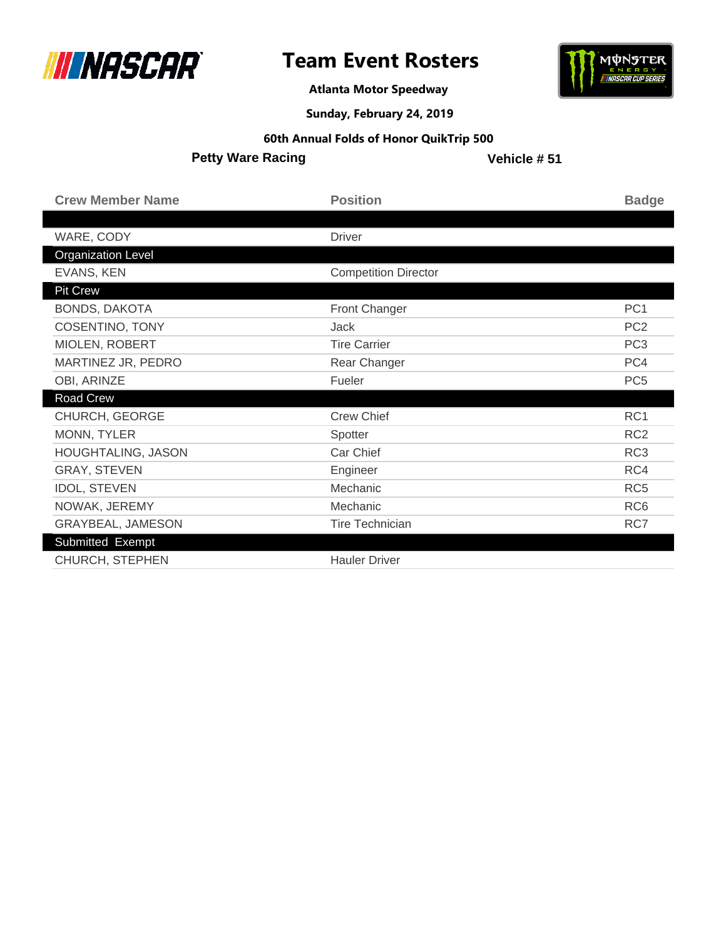



**Atlanta Motor Speedway**

**Sunday, February 24, 2019**

**60th Annual Folds of Honor QuikTrip 500**

**Petty Ware Racing**

| <b>Crew Member Name</b>   | <b>Position</b>             | <b>Badge</b>    |
|---------------------------|-----------------------------|-----------------|
|                           |                             |                 |
| WARE, CODY                | <b>Driver</b>               |                 |
| <b>Organization Level</b> |                             |                 |
| EVANS, KEN                | <b>Competition Director</b> |                 |
| <b>Pit Crew</b>           |                             |                 |
| <b>BONDS, DAKOTA</b>      | <b>Front Changer</b>        | PC <sub>1</sub> |
| <b>COSENTINO, TONY</b>    | <b>Jack</b>                 | PC <sub>2</sub> |
| MIOLEN, ROBERT            | <b>Tire Carrier</b>         | PC <sub>3</sub> |
| MARTINEZ JR, PEDRO        | Rear Changer                | PC4             |
| OBI, ARINZE               | Fueler                      | PC <sub>5</sub> |
| Road Crew                 |                             |                 |
| CHURCH, GEORGE            | <b>Crew Chief</b>           | RC1             |
| MONN, TYLER               | Spotter                     | RC <sub>2</sub> |
| <b>HOUGHTALING, JASON</b> | Car Chief                   | RC <sub>3</sub> |
| <b>GRAY, STEVEN</b>       | Engineer                    | RC4             |
| <b>IDOL, STEVEN</b>       | Mechanic                    | RC <sub>5</sub> |
| NOWAK, JEREMY             | Mechanic                    | RC <sub>6</sub> |
| GRAYBEAL, JAMESON         | <b>Tire Technician</b>      | RC7             |
| Submitted Exempt          |                             |                 |
| <b>CHURCH, STEPHEN</b>    | <b>Hauler Driver</b>        |                 |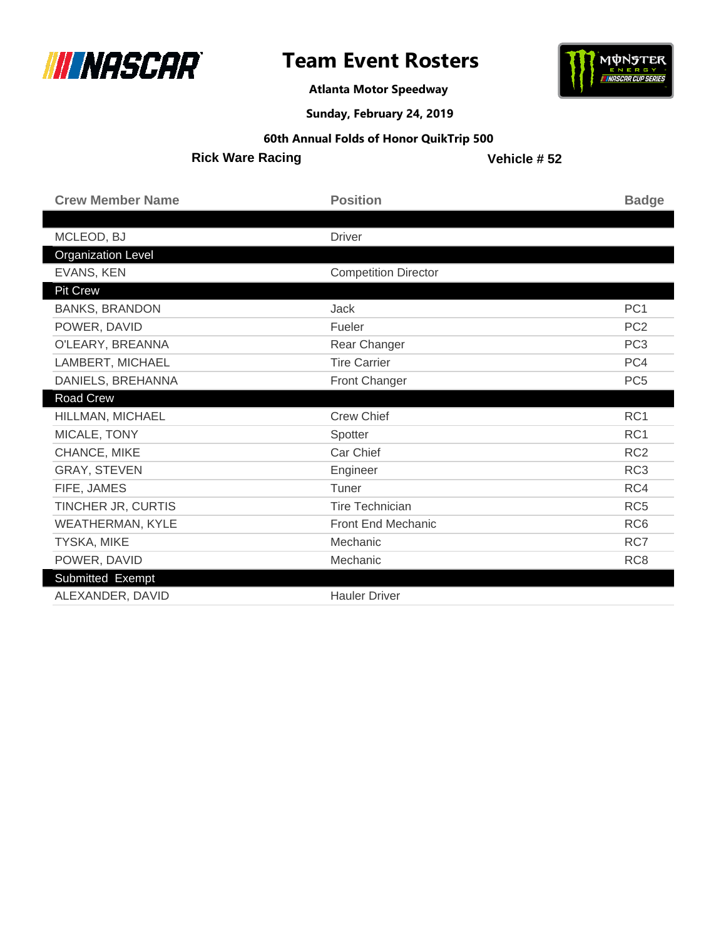



**Atlanta Motor Speedway**

**Sunday, February 24, 2019**

**60th Annual Folds of Honor QuikTrip 500**

**Rick Ware Racing**

| <b>Crew Member Name</b>   | <b>Position</b>             | <b>Badge</b>    |
|---------------------------|-----------------------------|-----------------|
|                           |                             |                 |
| MCLEOD, BJ                | <b>Driver</b>               |                 |
| <b>Organization Level</b> |                             |                 |
| EVANS, KEN                | <b>Competition Director</b> |                 |
| Pit Crew                  |                             |                 |
| <b>BANKS, BRANDON</b>     | <b>Jack</b>                 | PC <sub>1</sub> |
| POWER, DAVID              | Fueler                      | PC <sub>2</sub> |
| O'LEARY, BREANNA          | Rear Changer                | PC <sub>3</sub> |
| LAMBERT, MICHAEL          | <b>Tire Carrier</b>         | PC4             |
| DANIELS, BREHANNA         | Front Changer               | PC <sub>5</sub> |
| Road Crew                 |                             |                 |
| HILLMAN, MICHAEL          | <b>Crew Chief</b>           | RC1             |
| MICALE, TONY              | Spotter                     | RC <sub>1</sub> |
| CHANCE, MIKE              | Car Chief                   | RC <sub>2</sub> |
| <b>GRAY, STEVEN</b>       | Engineer                    | RC <sub>3</sub> |
| FIFE, JAMES               | Tuner                       | RC4             |
| TINCHER JR, CURTIS        | <b>Tire Technician</b>      | RC <sub>5</sub> |
| <b>WEATHERMAN, KYLE</b>   | Front End Mechanic          | RC <sub>6</sub> |
| <b>TYSKA, MIKE</b>        | Mechanic                    | RC7             |
| POWER, DAVID              | Mechanic                    | RC <sub>8</sub> |
| Submitted Exempt          |                             |                 |
| ALEXANDER, DAVID          | <b>Hauler Driver</b>        |                 |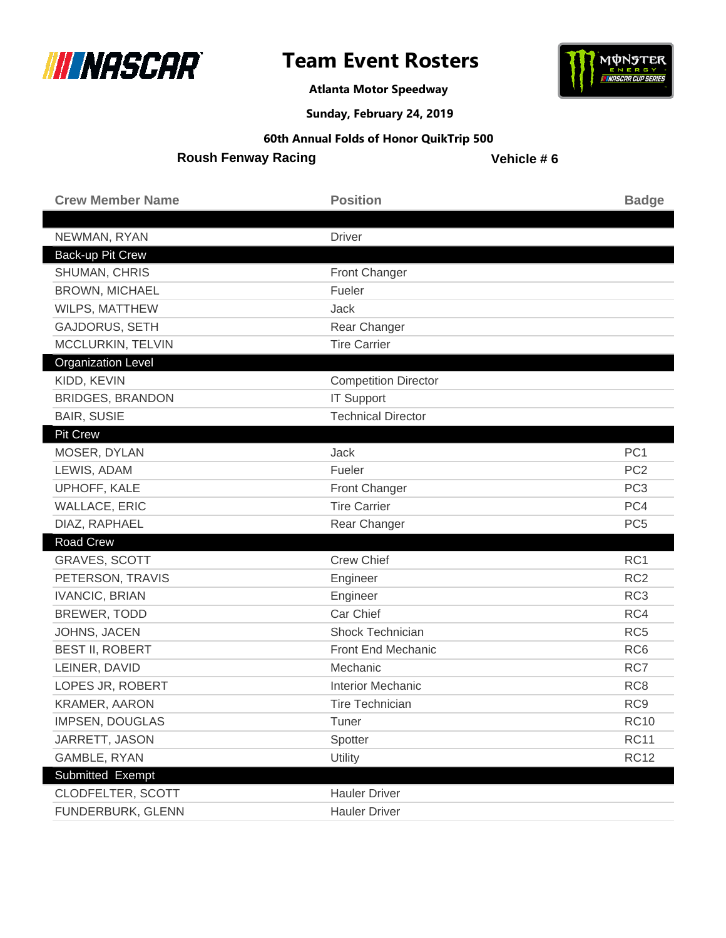

**Atlanta Motor Speedway**



**Sunday, February 24, 2019**

#### **60th Annual Folds of Honor QuikTrip 500**

**Roush Fenway Racing**

| <b>Crew Member Name</b>   | <b>Position</b>             | <b>Badge</b>    |
|---------------------------|-----------------------------|-----------------|
|                           |                             |                 |
| NEWMAN, RYAN              | <b>Driver</b>               |                 |
| Back-up Pit Crew          |                             |                 |
| SHUMAN, CHRIS             | Front Changer               |                 |
| <b>BROWN, MICHAEL</b>     | Fueler                      |                 |
| WILPS, MATTHEW            | <b>Jack</b>                 |                 |
| GAJDORUS, SETH            | Rear Changer                |                 |
| MCCLURKIN, TELVIN         | <b>Tire Carrier</b>         |                 |
| <b>Organization Level</b> |                             |                 |
| KIDD, KEVIN               | <b>Competition Director</b> |                 |
| <b>BRIDGES, BRANDON</b>   | <b>IT Support</b>           |                 |
| <b>BAIR, SUSIE</b>        | <b>Technical Director</b>   |                 |
| <b>Pit Crew</b>           |                             |                 |
| MOSER, DYLAN              | <b>Jack</b>                 | PC <sub>1</sub> |
| LEWIS, ADAM               | Fueler                      | PC <sub>2</sub> |
| UPHOFF, KALE              | Front Changer               | PC <sub>3</sub> |
| <b>WALLACE, ERIC</b>      | <b>Tire Carrier</b>         | PC4             |
| DIAZ, RAPHAEL             | Rear Changer                | PC <sub>5</sub> |
| <b>Road Crew</b>          |                             |                 |
| <b>GRAVES, SCOTT</b>      | <b>Crew Chief</b>           | RC1             |
| PETERSON, TRAVIS          | Engineer                    | RC <sub>2</sub> |
| <b>IVANCIC, BRIAN</b>     | Engineer                    | RC <sub>3</sub> |
| BREWER, TODD              | Car Chief                   | RC4             |
| JOHNS, JACEN              | Shock Technician            | RC <sub>5</sub> |
| <b>BEST II, ROBERT</b>    | Front End Mechanic          | RC <sub>6</sub> |
| LEINER, DAVID             | Mechanic                    | RC7             |
| LOPES JR, ROBERT          | <b>Interior Mechanic</b>    | RC <sub>8</sub> |
| <b>KRAMER, AARON</b>      | <b>Tire Technician</b>      | RC <sub>9</sub> |
| <b>IMPSEN, DOUGLAS</b>    | Tuner                       | <b>RC10</b>     |
| JARRETT, JASON            | Spotter                     | <b>RC11</b>     |
| GAMBLE, RYAN              | Utility                     | <b>RC12</b>     |
| Submitted Exempt          |                             |                 |
| <b>CLODFELTER, SCOTT</b>  | <b>Hauler Driver</b>        |                 |
| FUNDERBURK, GLENN         | <b>Hauler Driver</b>        |                 |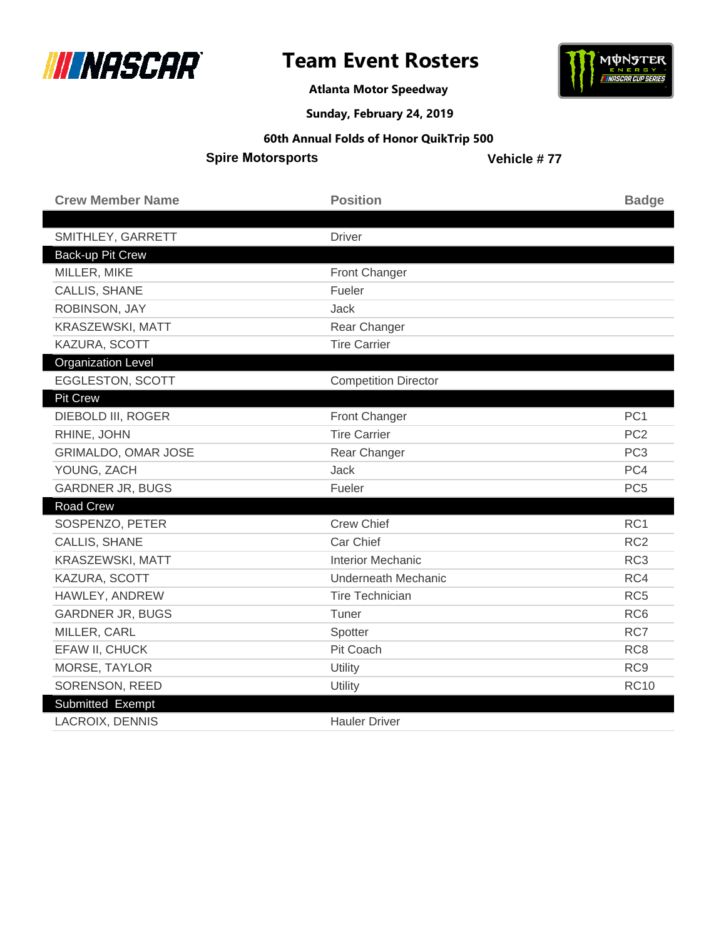



**Atlanta Motor Speedway**

**Sunday, February 24, 2019**

#### **60th Annual Folds of Honor QuikTrip 500**

**Spire Motorsports** 

| <b>Crew Member Name</b>    | <b>Position</b>             | <b>Badge</b>    |
|----------------------------|-----------------------------|-----------------|
|                            |                             |                 |
| SMITHLEY, GARRETT          | <b>Driver</b>               |                 |
| <b>Back-up Pit Crew</b>    |                             |                 |
| MILLER, MIKE               | <b>Front Changer</b>        |                 |
| CALLIS, SHANE              | Fueler                      |                 |
| ROBINSON, JAY              | <b>Jack</b>                 |                 |
| KRASZEWSKI, MATT           | Rear Changer                |                 |
| KAZURA, SCOTT              | <b>Tire Carrier</b>         |                 |
| <b>Organization Level</b>  |                             |                 |
| <b>EGGLESTON, SCOTT</b>    | <b>Competition Director</b> |                 |
| <b>Pit Crew</b>            |                             |                 |
| DIEBOLD III, ROGER         | Front Changer               | PC <sub>1</sub> |
| RHINE, JOHN                | <b>Tire Carrier</b>         | PC <sub>2</sub> |
| <b>GRIMALDO, OMAR JOSE</b> | Rear Changer                | PC <sub>3</sub> |
| YOUNG, ZACH                | Jack                        | PC4             |
| <b>GARDNER JR, BUGS</b>    | Fueler                      | PC <sub>5</sub> |
| Road Crew                  |                             |                 |
| SOSPENZO, PETER            | <b>Crew Chief</b>           | RC1             |
| CALLIS, SHANE              | Car Chief                   | RC <sub>2</sub> |
| KRASZEWSKI, MATT           | <b>Interior Mechanic</b>    | RC <sub>3</sub> |
| KAZURA, SCOTT              | <b>Underneath Mechanic</b>  | RC4             |
| HAWLEY, ANDREW             | <b>Tire Technician</b>      | RC <sub>5</sub> |
| <b>GARDNER JR, BUGS</b>    | Tuner                       | RC <sub>6</sub> |
| MILLER, CARL               | Spotter                     | RC7             |
| EFAW II, CHUCK             | Pit Coach                   | RC <sub>8</sub> |
| MORSE, TAYLOR              | Utility                     | RC <sub>9</sub> |
| SORENSON, REED             | Utility                     | <b>RC10</b>     |
| Submitted Exempt           |                             |                 |
| <b>LACROIX, DENNIS</b>     | <b>Hauler Driver</b>        |                 |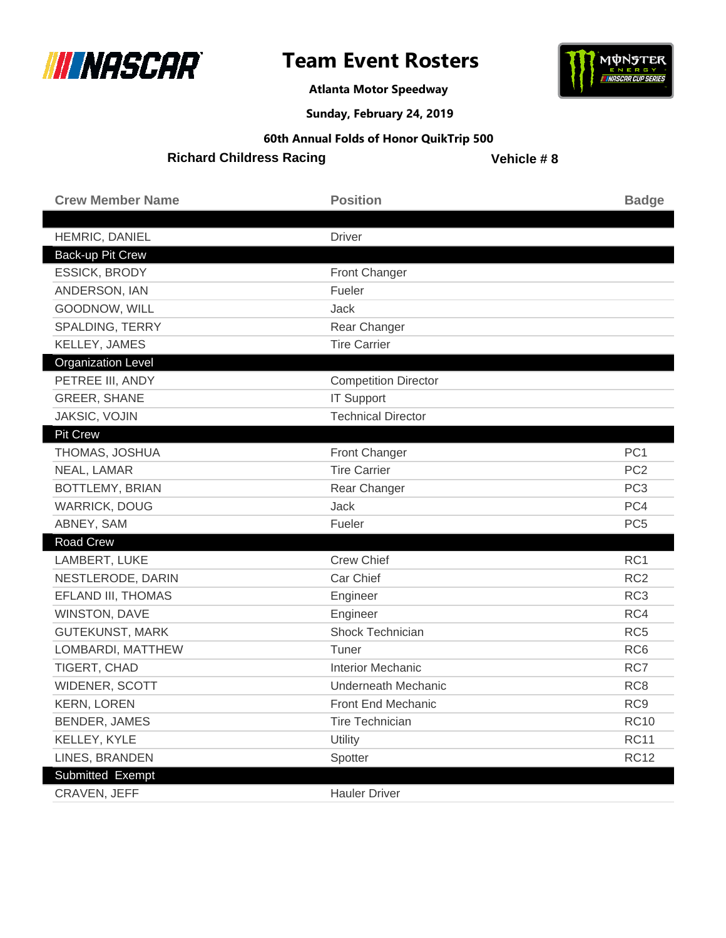

**Atlanta Motor Speedway**



**Sunday, February 24, 2019**

#### **60th Annual Folds of Honor QuikTrip 500**

**Richard Childress Racing**

| <b>Crew Member Name</b>   | <b>Position</b>             | <b>Badge</b>    |
|---------------------------|-----------------------------|-----------------|
| HEMRIC, DANIEL            | <b>Driver</b>               |                 |
| Back-up Pit Crew          |                             |                 |
| <b>ESSICK, BRODY</b>      | <b>Front Changer</b>        |                 |
| ANDERSON, IAN             | Fueler                      |                 |
| GOODNOW, WILL             | Jack                        |                 |
| SPALDING, TERRY           | Rear Changer                |                 |
| KELLEY, JAMES             | <b>Tire Carrier</b>         |                 |
| <b>Organization Level</b> |                             |                 |
| PETREE III, ANDY          | <b>Competition Director</b> |                 |
| <b>GREER, SHANE</b>       | <b>IT Support</b>           |                 |
| JAKSIC, VOJIN             | <b>Technical Director</b>   |                 |
| <b>Pit Crew</b>           |                             |                 |
| THOMAS, JOSHUA            | Front Changer               | PC <sub>1</sub> |
| NEAL, LAMAR               | <b>Tire Carrier</b>         | PC <sub>2</sub> |
| BOTTLEMY, BRIAN           | Rear Changer                | PC <sub>3</sub> |
| <b>WARRICK, DOUG</b>      | Jack                        | PC4             |
| ABNEY, SAM                | Fueler                      | PC <sub>5</sub> |
| <b>Road Crew</b>          |                             |                 |
| LAMBERT, LUKE             | <b>Crew Chief</b>           | RC <sub>1</sub> |
| NESTLERODE, DARIN         | Car Chief                   | RC <sub>2</sub> |
| EFLAND III, THOMAS        | Engineer                    | RC <sub>3</sub> |
| WINSTON, DAVE             | Engineer                    | RC4             |
| <b>GUTEKUNST, MARK</b>    | Shock Technician            | RC <sub>5</sub> |
| LOMBARDI, MATTHEW         | Tuner                       | RC <sub>6</sub> |
| TIGERT, CHAD              | <b>Interior Mechanic</b>    | RC7             |
| WIDENER, SCOTT            | Underneath Mechanic         | RC <sub>8</sub> |
| <b>KERN, LOREN</b>        | <b>Front End Mechanic</b>   | RC <sub>9</sub> |
| BENDER, JAMES             | <b>Tire Technician</b>      | <b>RC10</b>     |
| KELLEY, KYLE              | Utility                     | <b>RC11</b>     |
| LINES, BRANDEN            | Spotter                     | <b>RC12</b>     |
| Submitted Exempt          |                             |                 |
| CRAVEN, JEFF              | <b>Hauler Driver</b>        |                 |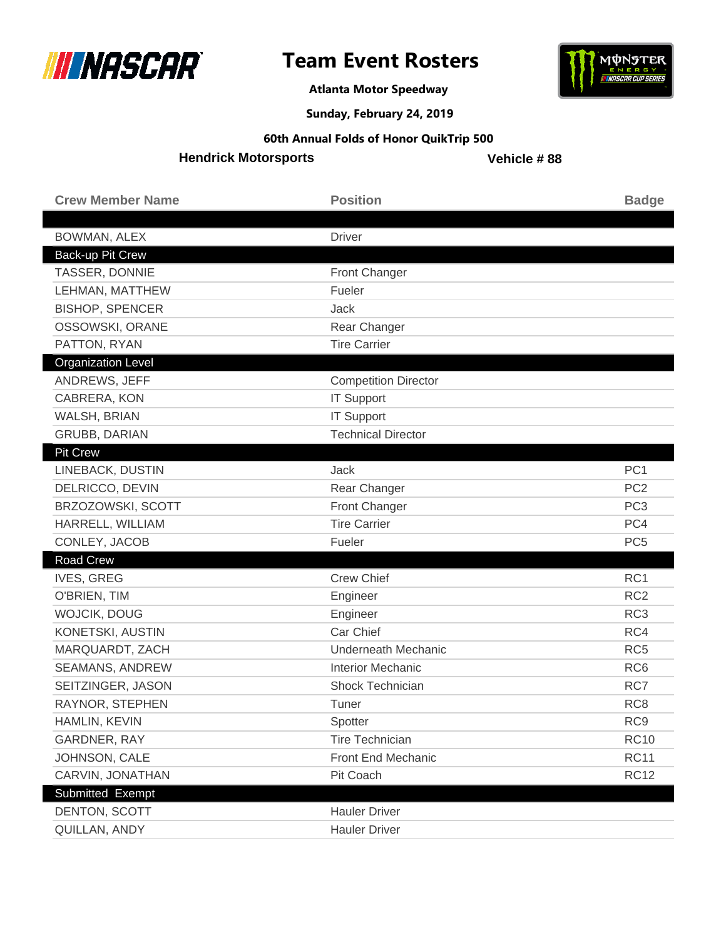



**Atlanta Motor Speedway**

**Sunday, February 24, 2019**

#### **60th Annual Folds of Honor QuikTrip 500**

**Hendrick Motorsports**

| <b>Crew Member Name</b>   | <b>Position</b>             | <b>Badge</b>    |
|---------------------------|-----------------------------|-----------------|
|                           |                             |                 |
| BOWMAN, ALEX              | <b>Driver</b>               |                 |
| Back-up Pit Crew          |                             |                 |
| TASSER, DONNIE            | Front Changer               |                 |
| LEHMAN, MATTHEW           | Fueler                      |                 |
| <b>BISHOP, SPENCER</b>    | Jack                        |                 |
| OSSOWSKI, ORANE           | Rear Changer                |                 |
| PATTON, RYAN              | <b>Tire Carrier</b>         |                 |
| <b>Organization Level</b> |                             |                 |
| ANDREWS, JEFF             | <b>Competition Director</b> |                 |
| CABRERA, KON              | <b>IT Support</b>           |                 |
| WALSH, BRIAN              | <b>IT Support</b>           |                 |
| <b>GRUBB, DARIAN</b>      | <b>Technical Director</b>   |                 |
| <b>Pit Crew</b>           |                             |                 |
| LINEBACK, DUSTIN          | Jack                        | PC <sub>1</sub> |
| DELRICCO, DEVIN           | Rear Changer                | PC <sub>2</sub> |
| BRZOZOWSKI, SCOTT         | Front Changer               | PC <sub>3</sub> |
| HARRELL, WILLIAM          | <b>Tire Carrier</b>         | PC4             |
| CONLEY, JACOB             | Fueler                      | PC <sub>5</sub> |
| Road Crew                 |                             |                 |
| <b>IVES, GREG</b>         | <b>Crew Chief</b>           | RC1             |
| O'BRIEN, TIM              | Engineer                    | RC <sub>2</sub> |
| WOJCIK, DOUG              | Engineer                    | RC <sub>3</sub> |
| KONETSKI, AUSTIN          | Car Chief                   | RC4             |
| MARQUARDT, ZACH           | <b>Underneath Mechanic</b>  | RC <sub>5</sub> |
| SEAMANS, ANDREW           | <b>Interior Mechanic</b>    | RC <sub>6</sub> |
| SEITZINGER, JASON         | <b>Shock Technician</b>     | RC7             |
| RAYNOR, STEPHEN           | Tuner                       | RC <sub>8</sub> |
| HAMLIN, KEVIN             | Spotter                     | RC <sub>9</sub> |
| <b>GARDNER, RAY</b>       | <b>Tire Technician</b>      | <b>RC10</b>     |
| JOHNSON, CALE             | Front End Mechanic          | <b>RC11</b>     |
| CARVIN, JONATHAN          | Pit Coach                   | <b>RC12</b>     |
| Submitted Exempt          |                             |                 |
| DENTON, SCOTT             | <b>Hauler Driver</b>        |                 |
| QUILLAN, ANDY             | <b>Hauler Driver</b>        |                 |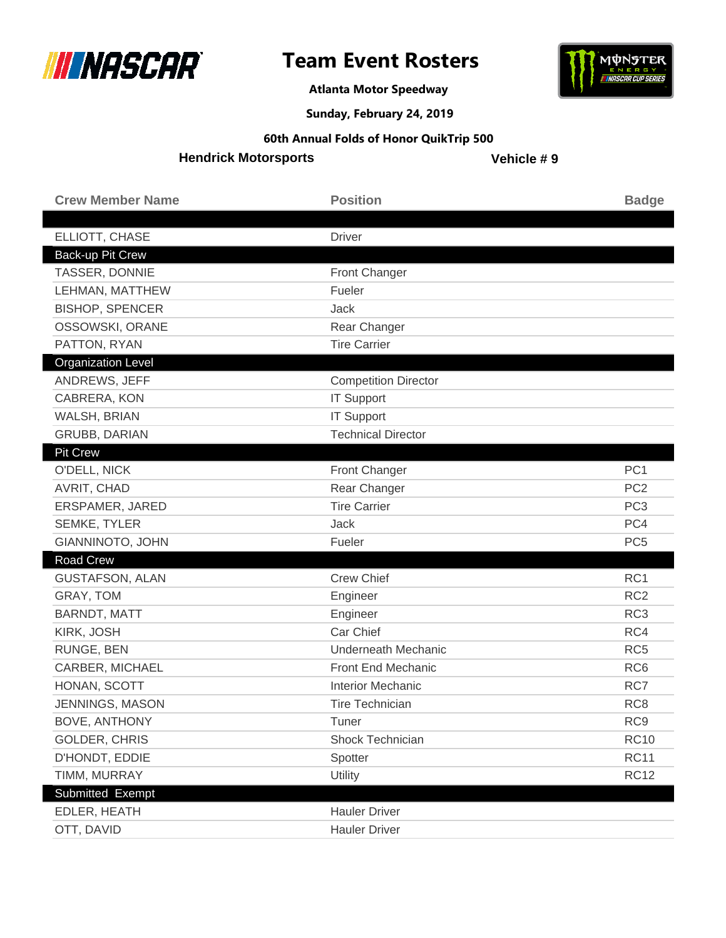



**Atlanta Motor Speedway**

**Sunday, February 24, 2019**

#### **60th Annual Folds of Honor QuikTrip 500**

**Hendrick Motorsports**

| <b>Crew Member Name</b>   | <b>Position</b>             | <b>Badge</b>    |
|---------------------------|-----------------------------|-----------------|
|                           |                             |                 |
| ELLIOTT, CHASE            | <b>Driver</b>               |                 |
| Back-up Pit Crew          |                             |                 |
| TASSER, DONNIE            | Front Changer               |                 |
| LEHMAN, MATTHEW           | Fueler                      |                 |
| <b>BISHOP, SPENCER</b>    | Jack                        |                 |
| OSSOWSKI, ORANE           | Rear Changer                |                 |
| PATTON, RYAN              | <b>Tire Carrier</b>         |                 |
| <b>Organization Level</b> |                             |                 |
| ANDREWS, JEFF             | <b>Competition Director</b> |                 |
| CABRERA, KON              | <b>IT Support</b>           |                 |
| WALSH, BRIAN              | <b>IT Support</b>           |                 |
| <b>GRUBB, DARIAN</b>      | <b>Technical Director</b>   |                 |
| <b>Pit Crew</b>           |                             |                 |
| O'DELL, NICK              | Front Changer               | PC <sub>1</sub> |
| AVRIT, CHAD               | Rear Changer                | PC <sub>2</sub> |
| ERSPAMER, JARED           | <b>Tire Carrier</b>         | PC <sub>3</sub> |
| <b>SEMKE, TYLER</b>       | Jack                        | PC4             |
| GIANNINOTO, JOHN          | Fueler                      | PC <sub>5</sub> |
| <b>Road Crew</b>          |                             |                 |
| <b>GUSTAFSON, ALAN</b>    | <b>Crew Chief</b>           | RC1             |
| GRAY, TOM                 | Engineer                    | RC <sub>2</sub> |
| <b>BARNDT, MATT</b>       | Engineer                    | RC <sub>3</sub> |
| KIRK, JOSH                | Car Chief                   | RC4             |
| RUNGE, BEN                | <b>Underneath Mechanic</b>  | RC <sub>5</sub> |
| CARBER, MICHAEL           | Front End Mechanic          | RC <sub>6</sub> |
| HONAN, SCOTT              | <b>Interior Mechanic</b>    | RC7             |
| JENNINGS, MASON           | Tire Technician             | RC <sub>8</sub> |
| <b>BOVE, ANTHONY</b>      | Tuner                       | RC <sub>9</sub> |
| GOLDER, CHRIS             | Shock Technician            | <b>RC10</b>     |
| D'HONDT, EDDIE            | Spotter                     | <b>RC11</b>     |
| TIMM, MURRAY              | Utility                     | <b>RC12</b>     |
| <b>Submitted Exempt</b>   |                             |                 |
| EDLER, HEATH              | <b>Hauler Driver</b>        |                 |
| OTT, DAVID                | <b>Hauler Driver</b>        |                 |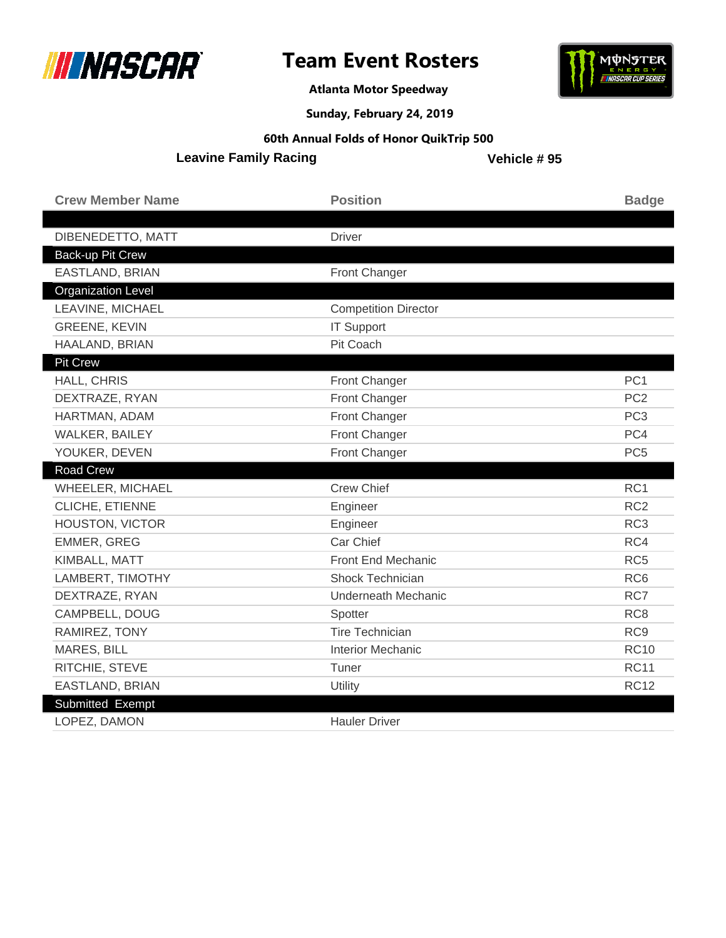

**Atlanta Motor Speedway**



**Sunday, February 24, 2019**

**60th Annual Folds of Honor QuikTrip 500**

**Leavine Family Racing**

| <b>Crew Member Name</b>   | <b>Position</b>             | <b>Badge</b>    |
|---------------------------|-----------------------------|-----------------|
|                           |                             |                 |
| DIBENEDETTO, MATT         | <b>Driver</b>               |                 |
| Back-up Pit Crew          |                             |                 |
| EASTLAND, BRIAN           | <b>Front Changer</b>        |                 |
| <b>Organization Level</b> |                             |                 |
| LEAVINE, MICHAEL          | <b>Competition Director</b> |                 |
| <b>GREENE, KEVIN</b>      | <b>IT Support</b>           |                 |
| HAALAND, BRIAN            | Pit Coach                   |                 |
| <b>Pit Crew</b>           |                             |                 |
| HALL, CHRIS               | Front Changer               | PC <sub>1</sub> |
| DEXTRAZE, RYAN            | Front Changer               | PC <sub>2</sub> |
| HARTMAN, ADAM             | Front Changer               | PC <sub>3</sub> |
| <b>WALKER, BAILEY</b>     | Front Changer               | PC4             |
| YOUKER, DEVEN             | Front Changer               | PC <sub>5</sub> |
| <b>Road Crew</b>          |                             |                 |
| WHEELER, MICHAEL          | <b>Crew Chief</b>           | RC1             |
|                           |                             |                 |
| CLICHE, ETIENNE           | Engineer                    | RC <sub>2</sub> |
| HOUSTON, VICTOR           | Engineer                    | RC <sub>3</sub> |
| EMMER, GREG               | Car Chief                   | RC4             |
| KIMBALL, MATT             | <b>Front End Mechanic</b>   | RC <sub>5</sub> |
| LAMBERT, TIMOTHY          | <b>Shock Technician</b>     | RC <sub>6</sub> |
| DEXTRAZE, RYAN            | <b>Underneath Mechanic</b>  | RC7             |
| CAMPBELL, DOUG            | Spotter                     | RC <sub>8</sub> |
| RAMIREZ, TONY             | <b>Tire Technician</b>      | RC <sub>9</sub> |
| MARES, BILL               | <b>Interior Mechanic</b>    | <b>RC10</b>     |
| RITCHIE, STEVE            | Tuner                       | <b>RC11</b>     |
| EASTLAND, BRIAN           | Utility                     | <b>RC12</b>     |
| Submitted Exempt          |                             |                 |